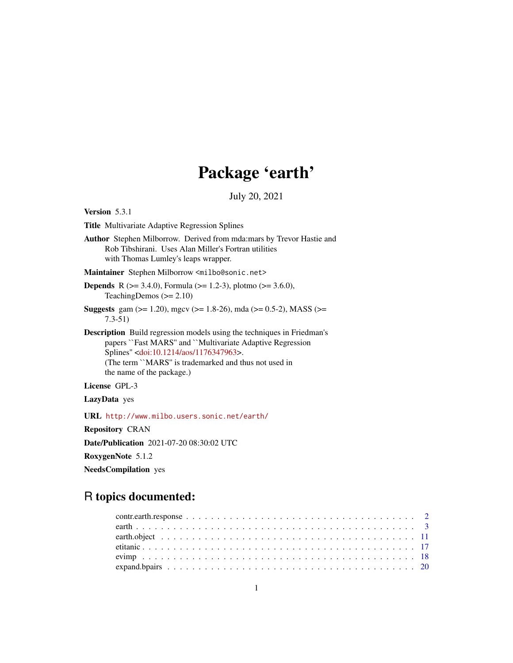# Package 'earth'

July 20, 2021

<span id="page-0-0"></span>Version 5.3.1

Title Multivariate Adaptive Regression Splines

Author Stephen Milborrow. Derived from mda:mars by Trevor Hastie and Rob Tibshirani. Uses Alan Miller's Fortran utilities with Thomas Lumley's leaps wrapper.

Maintainer Stephen Milborrow <milbo@sonic.net>

**Depends** R ( $>= 3.4.0$ ), Formula ( $>= 1.2-3$ ), plotmo ( $>= 3.6.0$ ), TeachingDemos  $(>= 2.10)$ 

Suggests gam ( $>= 1.20$ ), mgcv ( $>= 1.8-26$ ), mda ( $>= 0.5-2$ ), MASS ( $>=$ 7.3-51)

Description Build regression models using the techniques in Friedman's papers ``Fast MARS'' and ``Multivariate Adaptive Regression Splines'' [<doi:10.1214/aos/1176347963>](https://doi.org/10.1214/aos/1176347963). (The term ``MARS'' is trademarked and thus not used in the name of the package.)

License GPL-3

LazyData yes

URL <http://www.milbo.users.sonic.net/earth/>

Repository CRAN

Date/Publication 2021-07-20 08:30:02 UTC

RoxygenNote 5.1.2

NeedsCompilation yes

# R topics documented: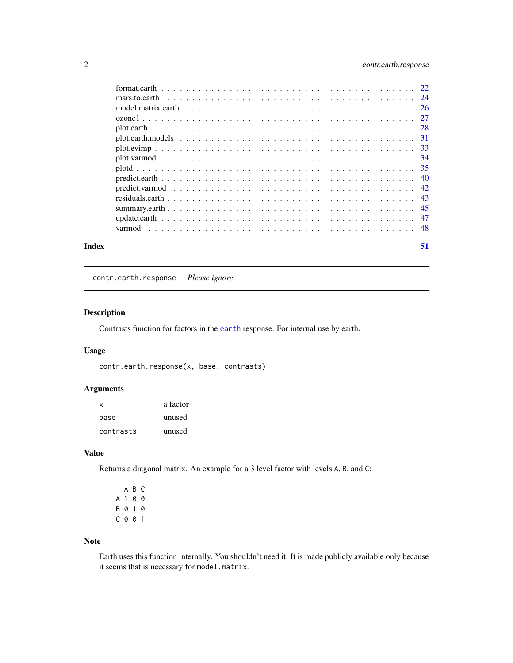# <span id="page-1-0"></span>2 contr.earth.response

| Index | 51 |
|-------|----|

contr.earth.response *Please ignore*

# Description

Contrasts function for factors in the [earth](#page-2-1) response. For internal use by earth.

# Usage

contr.earth.response(x, base, contrasts)

# Arguments

| x         | a factor |
|-----------|----------|
| base      | unused   |
| contrasts | unused   |

# Value

Returns a diagonal matrix. An example for a 3 level factor with levels A, B, and C:

|         | A B C |  |
|---------|-------|--|
| A 1 0 0 |       |  |
| B 0 1 0 |       |  |
| C 0 0 1 |       |  |

# Note

Earth uses this function internally. You shouldn't need it. It is made publicly available only because it seems that is necessary for model.matrix.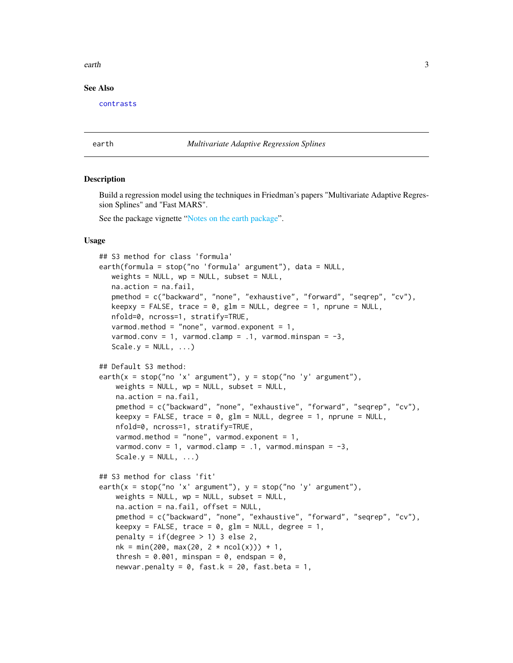### <span id="page-2-0"></span>earth 3

### See Also

[contrasts](#page-0-0)

### <span id="page-2-1"></span>earth *Multivariate Adaptive Regression Splines*

### Description

Build a regression model using the techniques in Friedman's papers "Multivariate Adaptive Regression Splines" and "Fast MARS".

See the package vignette ["Notes on the earth package"](#page-0-0).

# Usage

```
## S3 method for class 'formula'
earth(formula = stop("no 'formula' argument"), data = NULL,
   weights = NULL, wp = NULL, subset = NULL,
   na.action = na.fail,
   pmethod = c("backward", "none", "exhaustive", "forward", "seqrep", "cv"),
   keepxy = FALSE, trace = \theta, glm = NULL, degree = 1, nprune = NULL,
   nfold=0, ncross=1, stratify=TRUE,
   varmod.method = "none", varmod.exponent = 1,
   varmod.conv = 1, varmod.clamp = .1, varmod.minspan = -3,
   Scale.y = NULL, ...## Default S3 method:
earth(x = stop("no 'x' argument"), y = stop("no 'y' argument"),weights = NULL, wp = NULL, subset = NULL,
   na.action = na.fail,
   pmethod = c("backward", "none", "exhaustive", "forward", "seqrep", "cv"),
   keepxy = FALSE, trace = 0, glm = NULL, degree = 1, nprune = NULL,
   nfold=0, ncross=1, stratify=TRUE,
   varmod.method = "none", varmod.exponent = 1,
   varmod.conv = 1, varmod.clamp = .1, varmod.minspan = -3,
   Scale.y = NULL, ...)## S3 method for class 'fit'
earth(x = stop("no 'x' argument"), y = stop("no 'y' argument"),weights = NULL, wp = NULL, subset = NULL,
   na.action = na.fail, offset = NULL,
   pmethod = c("backward", "none", "exhaustive", "forward", "seqrep", "cv"),
   keepxy = FALSE, trace = 0, glm = NULL, degree = 1,
   penalty = if(degree > 1) 3 else 2,
   nk = min(200, max(20, 2 * ncol(x))) + 1,thresh = 0.001, minspan = 0, endspan = 0,
   newvar.penalty = 0, fast.k = 20, fast.beta = 1,
```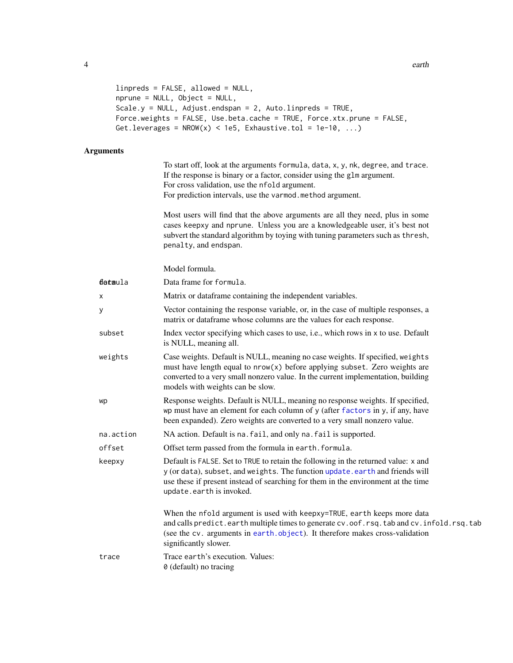```
linpreds = FALSE, allowed = NULL,
nprune = NULL, Object = NULL,
Scale.y = NULL, Adjust.endspan = 2, Auto.linpreds = TRUE,
Force.weights = FALSE, Use.beta.cache = TRUE, Force.xtx.prune = FALSE,
Get.leverages = NROW(x) < 1e5, Exhaustive.tol = 1e-10, ...)
```
# Arguments

To start off, look at the arguments formula, data, x, y, nk, degree, and trace. If the response is binary or a factor, consider using the glm argument. For cross validation, use the nfold argument. For prediction intervals, use the varmod.method argument.

Most users will find that the above arguments are all they need, plus in some cases keepxy and nprune. Unless you are a knowledgeable user, it's best not subvert the standard algorithm by toying with tuning parameters such as thresh, penalty, and endspan.

| detaula   | Data frame for formula.                                                                                                                                                                                                                                                               |
|-----------|---------------------------------------------------------------------------------------------------------------------------------------------------------------------------------------------------------------------------------------------------------------------------------------|
| X         | Matrix or dataframe containing the independent variables.                                                                                                                                                                                                                             |
| у         | Vector containing the response variable, or, in the case of multiple responses, a<br>matrix or dataframe whose columns are the values for each response.                                                                                                                              |
| subset    | Index vector specifying which cases to use, i.e., which rows in x to use. Default<br>is NULL, meaning all.                                                                                                                                                                            |
| weights   | Case weights. Default is NULL, meaning no case weights. If specified, weights<br>must have length equal to $nrow(x)$ before applying subset. Zero weights are<br>converted to a very small nonzero value. In the current implementation, building<br>models with weights can be slow. |
| wp        | Response weights. Default is NULL, meaning no response weights. If specified,<br>wp must have an element for each column of y (after factors in y, if any, have<br>been expanded). Zero weights are converted to a very small nonzero value.                                          |
| na.action | NA action. Default is na. fail, and only na. fail is supported.                                                                                                                                                                                                                       |
| offset    | Offset term passed from the formula in earth. formula.                                                                                                                                                                                                                                |
| keepxy    | Default is FALSE. Set to TRUE to retain the following in the returned value: x and<br>y (or data), subset, and weights. The function update. earth and friends will<br>use these if present instead of searching for them in the environment at the time<br>update.earth is invoked.  |
|           | When the nfold argument is used with keepxy=TRUE, earth keeps more data<br>and calls predict.earth multiple times to generate cv.oof.rsq.tab and cv.infold.rsq.tab<br>(see the cv. arguments in earth.object). It therefore makes cross-validation<br>significantly slower.           |
| trace     | Trace earth's execution. Values:<br>0 (default) no tracing                                                                                                                                                                                                                            |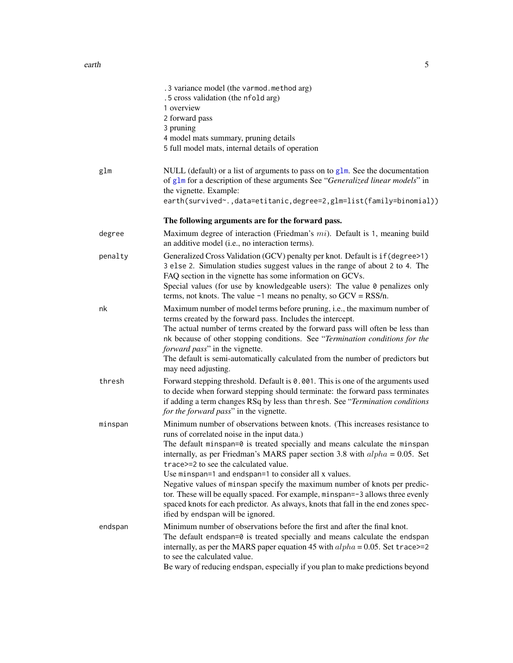<span id="page-4-0"></span>

|         | .3 variance model (the varmod.method arg)<br>.5 cross validation (the nfold arg)<br>1 overview<br>2 forward pass<br>3 pruning<br>4 model mats summary, pruning details<br>5 full model mats, internal details of operation                                                                                                                                                                                                                                                                                                                                                                                                                                                               |
|---------|------------------------------------------------------------------------------------------------------------------------------------------------------------------------------------------------------------------------------------------------------------------------------------------------------------------------------------------------------------------------------------------------------------------------------------------------------------------------------------------------------------------------------------------------------------------------------------------------------------------------------------------------------------------------------------------|
| glm     | NULL (default) or a list of arguments to pass on to $g1m$ . See the documentation<br>of glm for a description of these arguments See "Generalized linear models" in<br>the vignette. Example:<br>earth(survived~.,data=etitanic,degree=2,glm=list(family=binomial))                                                                                                                                                                                                                                                                                                                                                                                                                      |
|         | The following arguments are for the forward pass.                                                                                                                                                                                                                                                                                                                                                                                                                                                                                                                                                                                                                                        |
| degree  | Maximum degree of interaction (Friedman's $mi$ ). Default is 1, meaning build<br>an additive model (i.e., no interaction terms).                                                                                                                                                                                                                                                                                                                                                                                                                                                                                                                                                         |
| penalty | Generalized Cross Validation (GCV) penalty per knot. Default is if (degree>1)<br>3 else 2. Simulation studies suggest values in the range of about 2 to 4. The<br>FAQ section in the vignette has some information on GCVs.<br>Special values (for use by knowledgeable users): The value 0 penalizes only<br>terms, not knots. The value $-1$ means no penalty, so $GCV = RSS/n$ .                                                                                                                                                                                                                                                                                                      |
| nk      | Maximum number of model terms before pruning, i.e., the maximum number of<br>terms created by the forward pass. Includes the intercept.<br>The actual number of terms created by the forward pass will often be less than<br>nk because of other stopping conditions. See "Termination conditions for the<br><i>forward pass</i> " in the vignette.<br>The default is semi-automatically calculated from the number of predictors but<br>may need adjusting.                                                                                                                                                                                                                             |
| thresh  | Forward stepping threshold. Default is 0.001. This is one of the arguments used<br>to decide when forward stepping should terminate: the forward pass terminates<br>if adding a term changes RSq by less than thresh. See "Termination conditions"<br>for the forward pass" in the vignette.                                                                                                                                                                                                                                                                                                                                                                                             |
| minspan | Minimum number of observations between knots. (This increases resistance to<br>runs of correlated noise in the input data.)<br>The default minspan=0 is treated specially and means calculate the minspan<br>internally, as per Friedman's MARS paper section 3.8 with $alpha = 0.05$ . Set<br>trace>=2 to see the calculated value.<br>Use minspan=1 and endspan=1 to consider all x values.<br>Negative values of minspan specify the maximum number of knots per predic-<br>tor. These will be equally spaced. For example, minspan=-3 allows three evenly<br>spaced knots for each predictor. As always, knots that fall in the end zones spec-<br>ified by endspan will be ignored. |
| endspan | Minimum number of observations before the first and after the final knot.<br>The default endspan=0 is treated specially and means calculate the endspan<br>internally, as per the MARS paper equation 45 with $alpha = 0.05$ . Set trace>=2<br>to see the calculated value.<br>Be wary of reducing endspan, especially if you plan to make predictions beyond                                                                                                                                                                                                                                                                                                                            |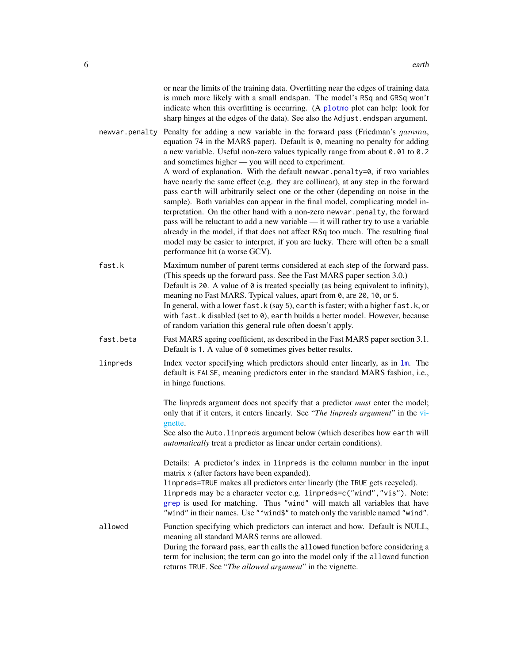<span id="page-5-0"></span>

|           | or near the limits of the training data. Overfitting near the edges of training data<br>is much more likely with a small endspan. The model's RSq and GRSq won't<br>indicate when this overfitting is occurring. (A plotmo plot can help: look for<br>sharp hinges at the edges of the data). See also the Adjust.endspan argument.                                                                                                                                                                                                                                                                                                                                                                                                                                                                                                                                                                                                                                                                                                        |
|-----------|--------------------------------------------------------------------------------------------------------------------------------------------------------------------------------------------------------------------------------------------------------------------------------------------------------------------------------------------------------------------------------------------------------------------------------------------------------------------------------------------------------------------------------------------------------------------------------------------------------------------------------------------------------------------------------------------------------------------------------------------------------------------------------------------------------------------------------------------------------------------------------------------------------------------------------------------------------------------------------------------------------------------------------------------|
|           | newvar penalty Penalty for adding a new variable in the forward pass (Friedman's gamma,<br>equation 74 in the MARS paper). Default is $\theta$ , meaning no penalty for adding<br>a new variable. Useful non-zero values typically range from about 0.01 to 0.2<br>and sometimes higher — you will need to experiment.<br>A word of explanation. With the default newvar penalty=0, if two variables<br>have nearly the same effect (e.g. they are collinear), at any step in the forward<br>pass earth will arbitrarily select one or the other (depending on noise in the<br>sample). Both variables can appear in the final model, complicating model in-<br>terpretation. On the other hand with a non-zero newvar.penalty, the forward<br>pass will be reluctant to add a new variable — it will rather try to use a variable<br>already in the model, if that does not affect RSq too much. The resulting final<br>model may be easier to interpret, if you are lucky. There will often be a small<br>performance hit (a worse GCV). |
| fast.k    | Maximum number of parent terms considered at each step of the forward pass.<br>(This speeds up the forward pass. See the Fast MARS paper section 3.0.)<br>Default is 20. A value of $\theta$ is treated specially (as being equivalent to infinity),<br>meaning no Fast MARS. Typical values, apart from 0, are 20, 10, or 5.<br>In general, with a lower fast. k (say 5), earth is faster; with a higher fast. k, or<br>with fast.k disabled (set to 0), earth builds a better model. However, because<br>of random variation this general rule often doesn't apply.                                                                                                                                                                                                                                                                                                                                                                                                                                                                      |
| fast.beta | Fast MARS ageing coefficient, as described in the Fast MARS paper section 3.1.<br>Default is 1. A value of 0 sometimes gives better results.                                                                                                                                                                                                                                                                                                                                                                                                                                                                                                                                                                                                                                                                                                                                                                                                                                                                                               |
| linpreds  | Index vector specifying which predictors should enter linearly, as in $\text{Im.}$ The<br>default is FALSE, meaning predictors enter in the standard MARS fashion, i.e.,<br>in hinge functions.                                                                                                                                                                                                                                                                                                                                                                                                                                                                                                                                                                                                                                                                                                                                                                                                                                            |
|           | The linpreds argument does not specify that a predictor <i>must</i> enter the model;<br>only that if it enters, it enters linearly. See "The linpreds argument" in the vi-<br>gnette.                                                                                                                                                                                                                                                                                                                                                                                                                                                                                                                                                                                                                                                                                                                                                                                                                                                      |
|           | See also the Auto. linpreds argument below (which describes how earth will<br>automatically treat a predictor as linear under certain conditions).                                                                                                                                                                                                                                                                                                                                                                                                                                                                                                                                                                                                                                                                                                                                                                                                                                                                                         |
|           | Details: A predictor's index in linpreds is the column number in the input<br>matrix x (after factors have been expanded).<br>linpreds=TRUE makes all predictors enter linearly (the TRUE gets recycled).<br>linpreds may be a character vector e.g. linpreds=c("wind", "vis"). Note:<br>grep is used for matching. Thus "wind" will match all variables that have<br>"wind" in their names. Use "^wind\$" to match only the variable named "wind".                                                                                                                                                                                                                                                                                                                                                                                                                                                                                                                                                                                        |
| allowed   | Function specifying which predictors can interact and how. Default is NULL,<br>meaning all standard MARS terms are allowed.<br>During the forward pass, earth calls the allowed function before considering a<br>term for inclusion; the term can go into the model only if the allowed function<br>returns TRUE. See "The allowed argument" in the vignette.                                                                                                                                                                                                                                                                                                                                                                                                                                                                                                                                                                                                                                                                              |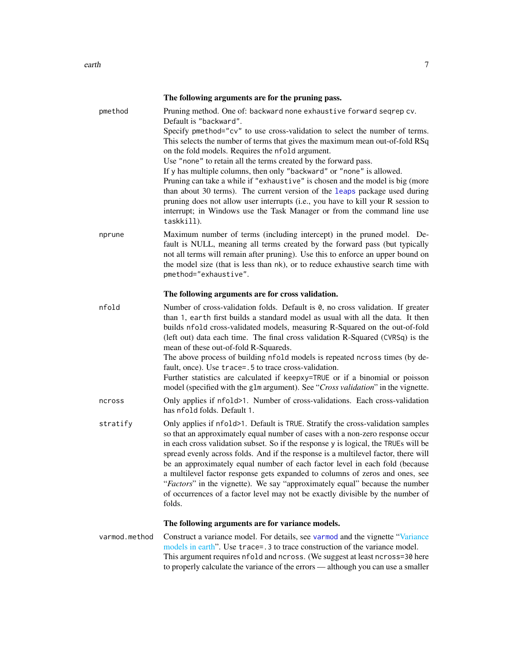<span id="page-6-0"></span>

|          | The following arguments are for the pruning pass.                                                                                                                                                                                                                                                                                                                                                                                                                                                                                                                                                                                                                                                                                                                                                        |
|----------|----------------------------------------------------------------------------------------------------------------------------------------------------------------------------------------------------------------------------------------------------------------------------------------------------------------------------------------------------------------------------------------------------------------------------------------------------------------------------------------------------------------------------------------------------------------------------------------------------------------------------------------------------------------------------------------------------------------------------------------------------------------------------------------------------------|
| pmethod  | Pruning method. One of: backward none exhaustive forward seqrep cv.<br>Default is "backward".<br>Specify pmethod="cv" to use cross-validation to select the number of terms.<br>This selects the number of terms that gives the maximum mean out-of-fold RSq<br>on the fold models. Requires the nfold argument.<br>Use "none" to retain all the terms created by the forward pass.<br>If y has multiple columns, then only "backward" or "none" is allowed.<br>Pruning can take a while if "exhaustive" is chosen and the model is big (more<br>than about 30 terms). The current version of the leaps package used during<br>pruning does not allow user interrupts (i.e., you have to kill your R session to<br>interrupt; in Windows use the Task Manager or from the command line use<br>taskkill). |
| nprune   | Maximum number of terms (including intercept) in the pruned model. De-<br>fault is NULL, meaning all terms created by the forward pass (but typically<br>not all terms will remain after pruning). Use this to enforce an upper bound on<br>the model size (that is less than nk), or to reduce exhaustive search time with<br>pmethod="exhaustive".                                                                                                                                                                                                                                                                                                                                                                                                                                                     |
|          | The following arguments are for cross validation.                                                                                                                                                                                                                                                                                                                                                                                                                                                                                                                                                                                                                                                                                                                                                        |
| nfold    | Number of cross-validation folds. Default is 0, no cross validation. If greater<br>than 1, earth first builds a standard model as usual with all the data. It then<br>builds nfold cross-validated models, measuring R-Squared on the out-of-fold<br>(left out) data each time. The final cross validation R-Squared (CVRSq) is the<br>mean of these out-of-fold R-Squareds.<br>The above process of building nfold models is repeated ncross times (by de-<br>fault, once). Use trace=.5 to trace cross-validation.<br>Further statistics are calculated if keepxy=TRUE or if a binomial or poisson<br>model (specified with the glm argument). See "Cross validation" in the vignette.                                                                                                                 |
| ncross   | Only applies if nfold>1. Number of cross-validations. Each cross-validation<br>has nfold folds. Default 1.                                                                                                                                                                                                                                                                                                                                                                                                                                                                                                                                                                                                                                                                                               |
| stratify | Only applies if nfold>1. Default is TRUE. Stratify the cross-validation samples<br>so that an approximately equal number of cases with a non-zero response occur<br>in each cross validation subset. So if the response y is logical, the TRUEs will be<br>spread evenly across folds. And if the response is a multilevel factor, there will<br>be an approximately equal number of each factor level in each fold (because<br>a multilevel factor response gets expanded to columns of zeros and ones, see<br>"Factors" in the vignette). We say "approximately equal" because the number<br>of occurrences of a factor level may not be exactly divisible by the number of<br>folds.                                                                                                                  |

# The following arguments are for variance models.

varmod.method Construct a variance model. For details, see [varmod](#page-47-1) and the vignette ["Variance](#page-0-0) [models in earth"](#page-0-0). Use trace=.3 to trace construction of the variance model. This argument requires nfold and ncross. (We suggest at least ncross=30 here to properly calculate the variance of the errors — although you can use a smaller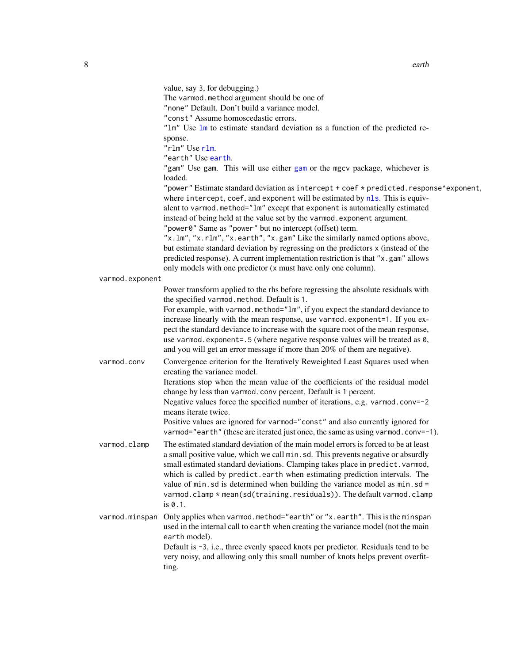<span id="page-7-0"></span>

|                 | The varmod.method argument should be one of                                                                                                                                                                                                                                                                                                                                                                                                                                                                                                                                                              |
|-----------------|----------------------------------------------------------------------------------------------------------------------------------------------------------------------------------------------------------------------------------------------------------------------------------------------------------------------------------------------------------------------------------------------------------------------------------------------------------------------------------------------------------------------------------------------------------------------------------------------------------|
|                 |                                                                                                                                                                                                                                                                                                                                                                                                                                                                                                                                                                                                          |
|                 | "none" Default. Don't build a variance model.                                                                                                                                                                                                                                                                                                                                                                                                                                                                                                                                                            |
|                 | "const" Assume homoscedastic errors.                                                                                                                                                                                                                                                                                                                                                                                                                                                                                                                                                                     |
|                 | "1m" Use 1m to estimate standard deviation as a function of the predicted re-                                                                                                                                                                                                                                                                                                                                                                                                                                                                                                                            |
|                 | sponse.                                                                                                                                                                                                                                                                                                                                                                                                                                                                                                                                                                                                  |
|                 | "rlm" Use rlm.                                                                                                                                                                                                                                                                                                                                                                                                                                                                                                                                                                                           |
|                 | "earth" Use earth.                                                                                                                                                                                                                                                                                                                                                                                                                                                                                                                                                                                       |
|                 | "gam" Use gam. This will use either gam or the mgcv package, whichever is                                                                                                                                                                                                                                                                                                                                                                                                                                                                                                                                |
|                 | loaded.                                                                                                                                                                                                                                                                                                                                                                                                                                                                                                                                                                                                  |
|                 | "power" Estimate standard deviation as intercept + coef * predicted.response^exponent,                                                                                                                                                                                                                                                                                                                                                                                                                                                                                                                   |
|                 | where intercept, coef, and exponent will be estimated by nls. This is equiv-                                                                                                                                                                                                                                                                                                                                                                                                                                                                                                                             |
|                 | alent to varmod.method="1m" except that exponent is automatically estimated                                                                                                                                                                                                                                                                                                                                                                                                                                                                                                                              |
|                 | instead of being held at the value set by the varmod. exponent argument.                                                                                                                                                                                                                                                                                                                                                                                                                                                                                                                                 |
|                 | "power0" Same as "power" but no intercept (offset) term.                                                                                                                                                                                                                                                                                                                                                                                                                                                                                                                                                 |
|                 | "x.lm", "x.rlm", "x.earth", "x.gam" Like the similarly named options above,                                                                                                                                                                                                                                                                                                                                                                                                                                                                                                                              |
|                 | but estimate standard deviation by regressing on the predictors x (instead of the                                                                                                                                                                                                                                                                                                                                                                                                                                                                                                                        |
|                 | predicted response). A current implementation restriction is that "x.gam" allows                                                                                                                                                                                                                                                                                                                                                                                                                                                                                                                         |
|                 | only models with one predictor (x must have only one column).                                                                                                                                                                                                                                                                                                                                                                                                                                                                                                                                            |
| varmod.exponent |                                                                                                                                                                                                                                                                                                                                                                                                                                                                                                                                                                                                          |
|                 | Power transform applied to the rhs before regressing the absolute residuals with                                                                                                                                                                                                                                                                                                                                                                                                                                                                                                                         |
|                 | the specified varmod.method. Default is 1.                                                                                                                                                                                                                                                                                                                                                                                                                                                                                                                                                               |
|                 | For example, with varmod.method="1m", if you expect the standard deviance to                                                                                                                                                                                                                                                                                                                                                                                                                                                                                                                             |
|                 | increase linearly with the mean response, use varmod.exponent=1. If you ex-                                                                                                                                                                                                                                                                                                                                                                                                                                                                                                                              |
|                 | pect the standard deviance to increase with the square root of the mean response,                                                                                                                                                                                                                                                                                                                                                                                                                                                                                                                        |
|                 | use varmod.exponent=.5 (where negative response values will be treated as 0,                                                                                                                                                                                                                                                                                                                                                                                                                                                                                                                             |
|                 | and you will get an error message if more than 20% of them are negative).                                                                                                                                                                                                                                                                                                                                                                                                                                                                                                                                |
| varmod.conv     | Convergence criterion for the Iteratively Reweighted Least Squares used when                                                                                                                                                                                                                                                                                                                                                                                                                                                                                                                             |
|                 | creating the variance model.                                                                                                                                                                                                                                                                                                                                                                                                                                                                                                                                                                             |
|                 | Iterations stop when the mean value of the coefficients of the residual model                                                                                                                                                                                                                                                                                                                                                                                                                                                                                                                            |
|                 |                                                                                                                                                                                                                                                                                                                                                                                                                                                                                                                                                                                                          |
|                 |                                                                                                                                                                                                                                                                                                                                                                                                                                                                                                                                                                                                          |
|                 |                                                                                                                                                                                                                                                                                                                                                                                                                                                                                                                                                                                                          |
|                 |                                                                                                                                                                                                                                                                                                                                                                                                                                                                                                                                                                                                          |
|                 |                                                                                                                                                                                                                                                                                                                                                                                                                                                                                                                                                                                                          |
|                 |                                                                                                                                                                                                                                                                                                                                                                                                                                                                                                                                                                                                          |
|                 |                                                                                                                                                                                                                                                                                                                                                                                                                                                                                                                                                                                                          |
|                 |                                                                                                                                                                                                                                                                                                                                                                                                                                                                                                                                                                                                          |
|                 |                                                                                                                                                                                                                                                                                                                                                                                                                                                                                                                                                                                                          |
|                 | which is called by predict.earth when estimating prediction intervals. The                                                                                                                                                                                                                                                                                                                                                                                                                                                                                                                               |
|                 | value of min.sd is determined when building the variance model as min.sd =                                                                                                                                                                                                                                                                                                                                                                                                                                                                                                                               |
|                 | varmod.clamp * mean(sd(training.residuals)). The default varmod.clamp                                                                                                                                                                                                                                                                                                                                                                                                                                                                                                                                    |
|                 | is 0.1.                                                                                                                                                                                                                                                                                                                                                                                                                                                                                                                                                                                                  |
| varmod.minspan  | Only applies when varmod.method="earth" or "x.earth". This is the minspan                                                                                                                                                                                                                                                                                                                                                                                                                                                                                                                                |
|                 | used in the internal call to earth when creating the variance model (not the main                                                                                                                                                                                                                                                                                                                                                                                                                                                                                                                        |
|                 |                                                                                                                                                                                                                                                                                                                                                                                                                                                                                                                                                                                                          |
|                 | earth model).                                                                                                                                                                                                                                                                                                                                                                                                                                                                                                                                                                                            |
|                 | Default is -3, i.e., three evenly spaced knots per predictor. Residuals tend to be                                                                                                                                                                                                                                                                                                                                                                                                                                                                                                                       |
|                 | very noisy, and allowing only this small number of knots helps prevent overfit-<br>ting.                                                                                                                                                                                                                                                                                                                                                                                                                                                                                                                 |
| varmod.clamp    | change by less than varmod.conv percent. Default is 1 percent.<br>Negative values force the specified number of iterations, e.g. varmod.conv=-2<br>means iterate twice.<br>Positive values are ignored for varmod="const" and also currently ignored for<br>varmod="earth" (these are iterated just once, the same as using varmod.conv=-1).<br>The estimated standard deviation of the main model errors is forced to be at least<br>a small positive value, which we call min. sd. This prevents negative or absurdly<br>small estimated standard deviations. Clamping takes place in predict. varmod, |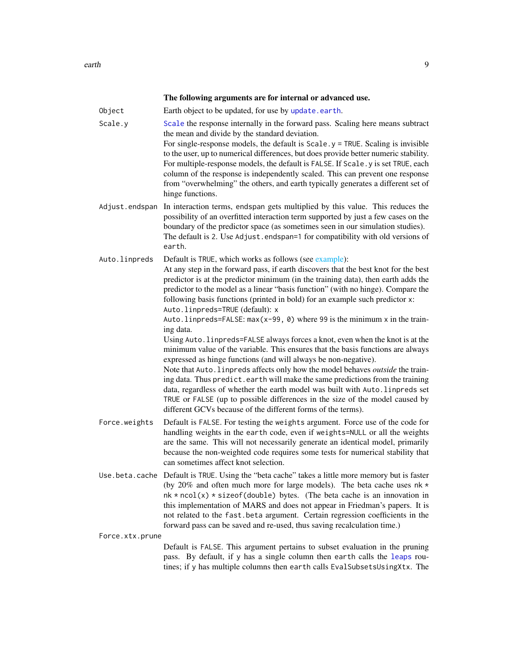The following arguments are for internal or advanced use.

- <span id="page-8-0"></span>Object Earth object to be updated, for use by [update.earth](#page-46-1).
- [Scale](#page-0-0).y Scale the response internally in the forward pass. Scaling here means subtract the mean and divide by the standard deviation.

For single-response models, the default is  $Scale.$   $y = TRUE$ . Scaling is invisible to the user, up to numerical differences, but does provide better numeric stability. For multiple-response models, the default is FALSE. If Scale.y is set TRUE, each column of the response is independently scaled. This can prevent one response from "overwhelming" the others, and earth typically generates a different set of hinge functions.

Adjust.endspan In interaction terms, endspan gets multiplied by this value. This reduces the possibility of an overfitted interaction term supported by just a few cases on the boundary of the predictor space (as sometimes seen in our simulation studies). The default is 2. Use Adjust.endspan=1 for compatibility with old versions of earth.

Auto.linpreds Default is TRUE, which works as follows (see [example\)](#page-0-0): At any step in the forward pass, if earth discovers that the best knot for the best predictor is at the predictor minimum (in the training data), then earth adds the predictor to the model as a linear "basis function" (with no hinge). Compare the following basis functions (printed in bold) for an example such predictor x:

> Auto.linpreds=TRUE (default): x Auto.linpreds=FALSE:  $max(x-99, 0)$  where 99 is the minimum x in the training data.

> Using Auto.linpreds=FALSE always forces a knot, even when the knot is at the minimum value of the variable. This ensures that the basis functions are always expressed as hinge functions (and will always be non-negative).

Note that Auto.linpreds affects only how the model behaves *outside* the training data. Thus predict earth will make the same predictions from the training data, regardless of whether the earth model was built with Auto.linpreds set TRUE or FALSE (up to possible differences in the size of the model caused by different GCVs because of the different forms of the terms).

- Force.weights Default is FALSE. For testing the weights argument. Force use of the code for handling weights in the earth code, even if weights=NULL or all the weights are the same. This will not necessarily generate an identical model, primarily because the non-weighted code requires some tests for numerical stability that can sometimes affect knot selection.
- Use.beta.cache Default is TRUE. Using the "beta cache" takes a little more memory but is faster (by 20% and often much more for large models). The beta cache uses  $nk \star$  $nk * ncol(x) * sizeof(double) bytes.$  (The beta cache is an innovation in this implementation of MARS and does not appear in Friedman's papers. It is not related to the fast.beta argument. Certain regression coefficients in the forward pass can be saved and re-used, thus saving recalculation time.)

Force.xtx.prune

Default is FALSE. This argument pertains to subset evaluation in the pruning pass. By default, if y has a single column then earth calls the [leaps](#page-0-0) routines; if y has multiple columns then earth calls EvalSubsetsUsingXtx. The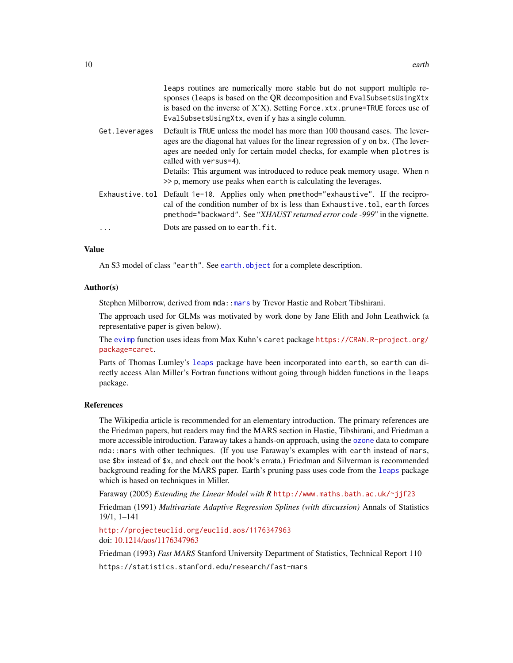<span id="page-9-0"></span>

|               | leaps routines are numerically more stable but do not support multiple re-<br>sponses (leaps is based on the QR decomposition and EvalSubsetsUsingXtx<br>is based on the inverse of X'X). Setting Force.xtx.prune=TRUE forces use of<br>EvalSubsetsUsingXtx, even if y has a single column. |
|---------------|---------------------------------------------------------------------------------------------------------------------------------------------------------------------------------------------------------------------------------------------------------------------------------------------|
| Get.leverages | Default is TRUE unless the model has more than 100 thousand cases. The lever-<br>ages are the diagonal hat values for the linear regression of $\gamma$ on bx. (The lever-<br>ages are needed only for certain model checks, for example when plotres is<br>called with versus=4).          |
|               | Details: This argument was introduced to reduce peak memory usage. When n<br>>> p, memory use peaks when earth is calculating the leverages.                                                                                                                                                |
|               | Exhaustive.tol Default 1e-10. Applies only when pmethod="exhaustive". If the recipro-<br>cal of the condition number of bx is less than Exhaustive.tol, earth forces<br>pmethod="backward". See "XHAUST returned error code -999" in the vignette.                                          |
| $\cdots$      | Dots are passed on to earth. fit.                                                                                                                                                                                                                                                           |

#### Value

An S3 model of class "earth". See [earth.object](#page-10-1) for a complete description.

### Author(s)

Stephen Milborrow, derived from mda:: mars by Trevor Hastie and Robert Tibshirani.

The approach used for GLMs was motivated by work done by Jane Elith and John Leathwick (a representative paper is given below).

The [evimp](#page-17-1) function uses ideas from Max Kuhn's caret package [https://CRAN.R-project.org/](https://CRAN.R-project.org/package=caret) [package=caret](https://CRAN.R-project.org/package=caret).

Parts of Thomas Lumley's [leaps](#page-0-0) package have been incorporated into earth, so earth can directly access Alan Miller's Fortran functions without going through hidden functions in the leaps package.

# References

The Wikipedia article is recommended for an elementary introduction. The primary references are the Friedman papers, but readers may find the MARS section in Hastie, Tibshirani, and Friedman a more accessible introduction. Faraway takes a hands-on approach, using the [ozone](#page-26-1) data to compare mda::mars with other techniques. (If you use Faraway's examples with earth instead of mars, use \$bx instead of \$x, and check out the book's errata.) Friedman and Silverman is recommended background reading for the MARS paper. Earth's pruning pass uses code from the [leaps](#page-0-0) package which is based on techniques in Miller.

Faraway (2005) *Extending the Linear Model with R* <http://www.maths.bath.ac.uk/~jjf23>

Friedman (1991) *Multivariate Adaptive Regression Splines (with discussion)* Annals of Statistics 19/1, 1–141

<http://projecteuclid.org/euclid.aos/1176347963> doi: [10.1214/aos/1176347963](https://doi.org/10.1214/aos/1176347963)

Friedman (1993) *Fast MARS* Stanford University Department of Statistics, Technical Report 110

https://statistics.stanford.edu/research/fast-mars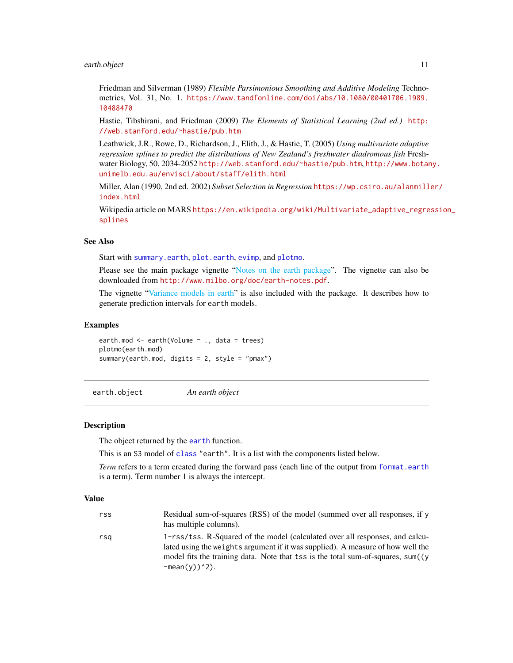### <span id="page-10-0"></span>earth.object 11

Friedman and Silverman (1989) *Flexible Parsimonious Smoothing and Additive Modeling* Technometrics, Vol. 31, No. 1. [https://www.tandfonline.com/doi/abs/10.1080/00401706.1989.](https://www.tandfonline.com/doi/abs/10.1080/00401706.1989.10488470) [10488470](https://www.tandfonline.com/doi/abs/10.1080/00401706.1989.10488470)

Hastie, Tibshirani, and Friedman (2009) *The Elements of Statistical Learning (2nd ed.)* [http:](http://web.stanford.edu/~hastie/pub.htm) [//web.stanford.edu/~hastie/pub.htm](http://web.stanford.edu/~hastie/pub.htm)

Leathwick, J.R., Rowe, D., Richardson, J., Elith, J., & Hastie, T. (2005) *Using multivariate adaptive regression splines to predict the distributions of New Zealand's freshwater diadromous fish* Freshwater Biology, 50, 2034-2052 <http://web.stanford.edu/~hastie/pub.htm>, [http://www.botan](http://www.botany.unimelb.edu.au/envisci/about/staff/elith.html)y. [unimelb.edu.au/envisci/about/staff/elith.html](http://www.botany.unimelb.edu.au/envisci/about/staff/elith.html)

Miller, Alan (1990, 2nd ed. 2002) *Subset Selection in Regression* [https://wp.csiro.au/alanmill](https://wp.csiro.au/alanmiller/index.html)er/ [index.html](https://wp.csiro.au/alanmiller/index.html)

Wikipedia article on MARS [https://en.wikipedia.org/wiki/Multivariate\\_adaptive\\_regre](https://en.wikipedia.org/wiki/Multivariate_adaptive_regression_splines)ssion\_ [splines](https://en.wikipedia.org/wiki/Multivariate_adaptive_regression_splines)

# See Also

Start with [summary.earth](#page-44-1), [plot.earth](#page-27-1), [evimp](#page-17-1), and [plotmo](#page-0-0).

Please see the main package vignette ["Notes on the earth package"](#page-0-0). The vignette can also be downloaded from <http://www.milbo.org/doc/earth-notes.pdf>.

The vignette ["Variance models in earth"](#page-0-0) is also included with the package. It describes how to generate prediction intervals for earth models.

### Examples

earth.mod <- earth(Volume ~ ., data = trees) plotmo(earth.mod) summary(earth.mod, digits = 2, style = "pmax")

<span id="page-10-1"></span>earth.object *An earth object*

### Description

The object returned by the [earth](#page-2-1) function.

 $-mean(y))^2$ ).

This is an S3 model of [class](#page-0-0) "earth". It is a list with the components listed below.

*Term* refers to a term created during the forward pass (each line of the output from [format.earth](#page-21-1) is a term). Term number 1 is always the intercept.

# Value

| rss | Residual sum-of-squares (RSS) of the model (summed over all responses, if y      |
|-----|----------------------------------------------------------------------------------|
|     | has multiple columns).                                                           |
| rsa | 1-rss/tss. R-Squared of the model (calculated over all responses, and calcu-     |
|     | lated using the weights argument if it was supplied). A measure of how well the  |
|     | model fits the training data. Note that tss is the total sum-of-squares, sum((y) |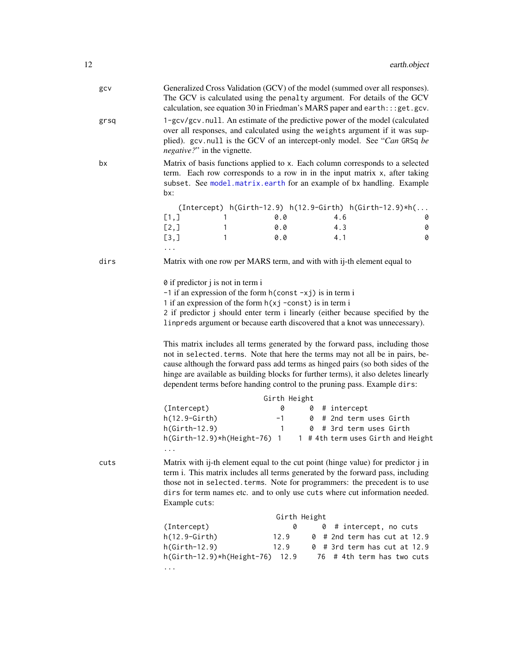<span id="page-11-0"></span>

| gcv  | Generalized Cross Validation (GCV) of the model (summed over all responses).<br>The GCV is calculated using the penalty argument. For details of the GCV<br>calculation, see equation 30 in Friedman's MARS paper and earth::: get.gcv.                                                                                                                                                                               |  |  |  |  |  |  |  |
|------|-----------------------------------------------------------------------------------------------------------------------------------------------------------------------------------------------------------------------------------------------------------------------------------------------------------------------------------------------------------------------------------------------------------------------|--|--|--|--|--|--|--|
| grsq | 1-gcv/gcv.null. An estimate of the predictive power of the model (calculated<br>over all responses, and calculated using the weights argument if it was sup-<br>plied). gcv.null is the GCV of an intercept-only model. See "Can GRSq be<br><i>negative?</i> " in the vignette.                                                                                                                                       |  |  |  |  |  |  |  |
| bx   | Matrix of basis functions applied to x. Each column corresponds to a selected<br>term. Each row corresponds to a row in in the input matrix x, after taking<br>subset. See model.matrix.earth for an example of bx handling. Example<br>bx:                                                                                                                                                                           |  |  |  |  |  |  |  |
|      | $(Intercept)$ h(Girth-12.9) h(12.9-Girth) h(Girth-12.9)*h(                                                                                                                                                                                                                                                                                                                                                            |  |  |  |  |  |  |  |
|      | [1,<br>0.0<br>4.6<br>1<br>0                                                                                                                                                                                                                                                                                                                                                                                           |  |  |  |  |  |  |  |
|      | [2,]<br>0.0<br>4.3<br>$\mathbf{1}$<br>0                                                                                                                                                                                                                                                                                                                                                                               |  |  |  |  |  |  |  |
|      | [3,1]<br>0.0<br>4.1<br>0<br>$\mathbf{1}$                                                                                                                                                                                                                                                                                                                                                                              |  |  |  |  |  |  |  |
| dirs | Matrix with one row per MARS term, and with with ij-th element equal to                                                                                                                                                                                                                                                                                                                                               |  |  |  |  |  |  |  |
|      | 0 if predictor j is not in term i<br>$-1$ if an expression of the form $h$ (const $-xj$ ) is in term i<br>1 if an expression of the form $h(xj - const)$ is in term i<br>2 if predictor j should enter term i linearly (either because specified by the<br>linpreds argument or because earth discovered that a knot was unnecessary).                                                                                |  |  |  |  |  |  |  |
|      | This matrix includes all terms generated by the forward pass, including those<br>not in selected. terms. Note that here the terms may not all be in pairs, be-<br>cause although the forward pass add terms as hinged pairs (so both sides of the<br>hinge are available as building blocks for further terms), it also deletes linearly<br>dependent terms before handing control to the pruning pass. Example dirs: |  |  |  |  |  |  |  |
|      | Girth Height                                                                                                                                                                                                                                                                                                                                                                                                          |  |  |  |  |  |  |  |
|      | (Intercept)<br>0<br>$0$ # intercept                                                                                                                                                                                                                                                                                                                                                                                   |  |  |  |  |  |  |  |
|      | h(12.9-Girth)<br>$-1$ 0 # 2nd term uses Girth                                                                                                                                                                                                                                                                                                                                                                         |  |  |  |  |  |  |  |
|      | 1 0 # 3rd term uses Girth<br>$h(Girth-12.9)$                                                                                                                                                                                                                                                                                                                                                                          |  |  |  |  |  |  |  |
|      | h(Girth-12.9)*h(Height-76) 1 1 # 4th term uses Girth and Height                                                                                                                                                                                                                                                                                                                                                       |  |  |  |  |  |  |  |
| cuts | Matrix with ij-th element equal to the cut point (hinge value) for predictor j in<br>term i. This matrix includes all terms generated by the forward pass, including<br>those not in selected. terms. Note for programmers: the precedent is to use<br>dirs for term names etc. and to only use cuts where cut information needed.<br>Example cuts:                                                                   |  |  |  |  |  |  |  |
|      | Girth Height                                                                                                                                                                                                                                                                                                                                                                                                          |  |  |  |  |  |  |  |
|      | (Intercept)<br>0<br># intercept, no cuts<br>0                                                                                                                                                                                                                                                                                                                                                                         |  |  |  |  |  |  |  |
|      | $h(12.9-Girth)$<br>12.9<br># 2nd term has cut at 12.9<br>0                                                                                                                                                                                                                                                                                                                                                            |  |  |  |  |  |  |  |
|      | $h(Girth-12.9)$<br>12.9<br>0 # 3rd term has cut at 12.9<br>h(Girth-12.9)*h(Height-76) 12.9<br># 4th term has two cuts<br>76                                                                                                                                                                                                                                                                                           |  |  |  |  |  |  |  |
|      | .                                                                                                                                                                                                                                                                                                                                                                                                                     |  |  |  |  |  |  |  |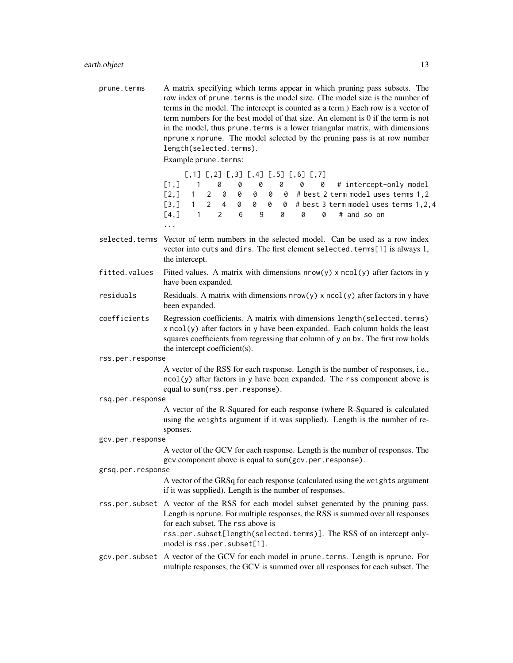prune.terms A matrix specifying which terms appear in which pruning pass subsets. The row index of prune, terms is the model size. (The model size is the number of terms in the model. The intercept is counted as a term.) Each row is a vector of term numbers for the best model of that size. An element is 0 if the term is not in the model, thus prune. terms is a lower triangular matrix, with dimensions nprune x nprune. The model selected by the pruning pass is at row number length(selected.terms).

Example prune.terms:

 $[0,1]$   $[0,2]$   $[0,3]$   $[0,4]$   $[0,5]$   $[0,6]$   $[0,7]$  $[1,]$  1 0 0 0 0 0 0 # intercept-only model [2,] 1 2 0 0 0 0 0 # best 2 term model uses terms 1,2 [3,] 1 2 4 0 0 0 0 # best 3 term model uses terms 1,2,4  $[4,]$  1 2 6 9 0 0 0 # and so on ...

- selected.terms Vector of term numbers in the selected model. Can be used as a row index vector into cuts and dirs. The first element selected.terms[1] is always 1, the intercept.
- fitted.values Fitted values. A matrix with dimensions  $nrow(y) \times ncol(y)$  after factors in y have been expanded.
- residuals Residuals. A matrix with dimensions  $nrow(y) \times ncol(y)$  after factors in y have been expanded.
- coefficients Regression coefficients. A matrix with dimensions length(selected.terms)  $x \text{ } \text{ } (y)$  after factors in y have been expanded. Each column holds the least squares coefficients from regressing that column of y on bx. The first row holds the intercept coefficient(s).
- rss.per.response

A vector of the RSS for each response. Length is the number of responses, i.e.,  $ncol(y)$  after factors in y have been expanded. The rss component above is equal to sum(rss.per.response).

rsq.per.response

A vector of the R-Squared for each response (where R-Squared is calculated using the weights argument if it was supplied). Length is the number of responses.

gcv.per.response

A vector of the GCV for each response. Length is the number of responses. The gcv component above is equal to sum(gcv.per.response).

grsq.per.response

A vector of the GRSq for each response (calculated using the weights argument if it was supplied). Length is the number of responses.

rss.per.subset A vector of the RSS for each model subset generated by the pruning pass. Length is nprune. For multiple responses, the RSS is summed over all responses for each subset. The rss above is rss.per.subset[length(selected.terms)]. The RSS of an intercept only-

model is rss.per.subset[1].

gcv.per.subset A vector of the GCV for each model in prune.terms. Length is nprune. For multiple responses, the GCV is summed over all responses for each subset. The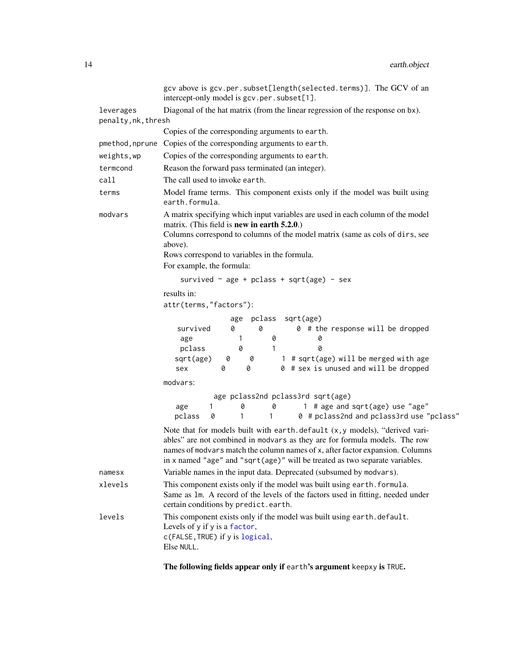<span id="page-13-0"></span>

|                                                                                                                                          | gcv above is gcv.per.subset[length(selected.terms)]. The GCV of an<br>intercept-only model is gcv.per.subset[1].                                                                                                                                                                                                          |  |  |  |  |  |  |
|------------------------------------------------------------------------------------------------------------------------------------------|---------------------------------------------------------------------------------------------------------------------------------------------------------------------------------------------------------------------------------------------------------------------------------------------------------------------------|--|--|--|--|--|--|
| leverages                                                                                                                                | Diagonal of the hat matrix (from the linear regression of the response on bx).                                                                                                                                                                                                                                            |  |  |  |  |  |  |
| penalty, nk, thresh                                                                                                                      |                                                                                                                                                                                                                                                                                                                           |  |  |  |  |  |  |
|                                                                                                                                          | Copies of the corresponding arguments to earth.                                                                                                                                                                                                                                                                           |  |  |  |  |  |  |
| pmethod, nprune                                                                                                                          | Copies of the corresponding arguments to earth.                                                                                                                                                                                                                                                                           |  |  |  |  |  |  |
| weights, wp                                                                                                                              | Copies of the corresponding arguments to earth.                                                                                                                                                                                                                                                                           |  |  |  |  |  |  |
| termcond                                                                                                                                 | Reason the forward pass terminated (an integer).                                                                                                                                                                                                                                                                          |  |  |  |  |  |  |
| call                                                                                                                                     | The call used to invoke earth.                                                                                                                                                                                                                                                                                            |  |  |  |  |  |  |
| terms                                                                                                                                    | Model frame terms. This component exists only if the model was built using<br>earth.formula.                                                                                                                                                                                                                              |  |  |  |  |  |  |
| A matrix specifying which input variables are used in each column of the model<br>modvars<br>matrix. (This field is new in earth 5.2.0.) |                                                                                                                                                                                                                                                                                                                           |  |  |  |  |  |  |
|                                                                                                                                          | Columns correspond to columns of the model matrix (same as cols of dirs, see<br>above).                                                                                                                                                                                                                                   |  |  |  |  |  |  |
|                                                                                                                                          | Rows correspond to variables in the formula.<br>For example, the formula:                                                                                                                                                                                                                                                 |  |  |  |  |  |  |
|                                                                                                                                          | survived $\sim$ age + pclass + sqrt(age) - sex                                                                                                                                                                                                                                                                            |  |  |  |  |  |  |
|                                                                                                                                          | results in:                                                                                                                                                                                                                                                                                                               |  |  |  |  |  |  |
|                                                                                                                                          | attr(terms,"factors"):                                                                                                                                                                                                                                                                                                    |  |  |  |  |  |  |
|                                                                                                                                          | pclass<br>sqrt(age)<br>age<br>0<br>0<br>0 # the response will be dropped<br>survived<br>0<br>0<br>age<br>1<br>pclass<br>0<br>Ø<br>1<br>1 # sqrt(age) will be merged with age<br>sqrt(age)<br>0<br>0<br>0<br>0 # sex is unused and will be dropped<br>0<br>sex                                                             |  |  |  |  |  |  |
|                                                                                                                                          | modvars:                                                                                                                                                                                                                                                                                                                  |  |  |  |  |  |  |
|                                                                                                                                          | age pclass2nd pclass3rd sqrt(age)<br>$\mathbf{1}$<br>1 # age and sqrt(age) use "age"<br>0<br>0<br>age<br>0 # pclass2nd and pclass3rd use "pclass"<br>$\mathbf{1}$<br>pclass<br>0<br>1                                                                                                                                     |  |  |  |  |  |  |
|                                                                                                                                          | Note that for models built with earth.default (x, y models), "derived vari-<br>ables" are not combined in modvars as they are for formula models. The row<br>names of modvars match the column names of x, after factor expansion. Columns<br>in x named "age" and "sqrt(age)" will be treated as two separate variables. |  |  |  |  |  |  |
| namesx                                                                                                                                   | Variable names in the input data. Deprecated (subsumed by modvars).                                                                                                                                                                                                                                                       |  |  |  |  |  |  |
| xlevels                                                                                                                                  | This component exists only if the model was built using earth. formula.<br>Same as 1m. A record of the levels of the factors used in fitting, needed under<br>certain conditions by predict.earth.                                                                                                                        |  |  |  |  |  |  |
| levels                                                                                                                                   | This component exists only if the model was built using earth.default.<br>Levels of y if y is a factor,<br>c(FALSE, TRUE) if y is logical,<br>Else NULL.                                                                                                                                                                  |  |  |  |  |  |  |

The following fields appear only if earth's argument keepxy is TRUE.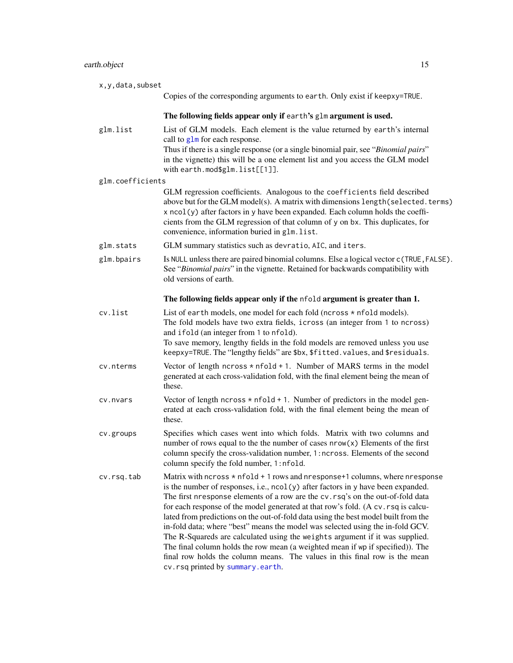# <span id="page-14-0"></span>earth.object 15

| x, y, data, subset |                                                                                                                                                                                                                                                                                                                                                                                                                                                                                                                                                                                                                                                                                                                                                                                                             |
|--------------------|-------------------------------------------------------------------------------------------------------------------------------------------------------------------------------------------------------------------------------------------------------------------------------------------------------------------------------------------------------------------------------------------------------------------------------------------------------------------------------------------------------------------------------------------------------------------------------------------------------------------------------------------------------------------------------------------------------------------------------------------------------------------------------------------------------------|
|                    | Copies of the corresponding arguments to earth. Only exist if keepxy=TRUE.                                                                                                                                                                                                                                                                                                                                                                                                                                                                                                                                                                                                                                                                                                                                  |
|                    | The following fields appear only if earth's glm argument is used.                                                                                                                                                                                                                                                                                                                                                                                                                                                                                                                                                                                                                                                                                                                                           |
| glm.list           | List of GLM models. Each element is the value returned by earth's internal<br>call to $g1m$ for each response.<br>Thus if there is a single response (or a single binomial pair, see "Binomial pairs"                                                                                                                                                                                                                                                                                                                                                                                                                                                                                                                                                                                                       |
|                    | in the vignette) this will be a one element list and you access the GLM model<br>with earth.mod\$glm.list[[1]].                                                                                                                                                                                                                                                                                                                                                                                                                                                                                                                                                                                                                                                                                             |
| glm.coefficients   |                                                                                                                                                                                                                                                                                                                                                                                                                                                                                                                                                                                                                                                                                                                                                                                                             |
|                    | GLM regression coefficients. Analogous to the coefficients field described<br>above but for the GLM model(s). A matrix with dimensions length (selected.terms)<br>cients from the GLM regression of that column of y on bx. This duplicates, for<br>convenience, information buried in glm. list.                                                                                                                                                                                                                                                                                                                                                                                                                                                                                                           |
| glm.stats          | GLM summary statistics such as devratio, AIC, and iters.                                                                                                                                                                                                                                                                                                                                                                                                                                                                                                                                                                                                                                                                                                                                                    |
| glm.bpairs         | Is NULL unless there are paired binomial columns. Else a logical vector c (TRUE, FALSE).<br>See "Binomial pairs" in the vignette. Retained for backwards compatibility with<br>old versions of earth.                                                                                                                                                                                                                                                                                                                                                                                                                                                                                                                                                                                                       |
|                    | The following fields appear only if the nfold argument is greater than 1.                                                                                                                                                                                                                                                                                                                                                                                                                                                                                                                                                                                                                                                                                                                                   |
| cv.list            | List of earth models, one model for each fold (ncross * nfold models).<br>The fold models have two extra fields, icross (an integer from 1 to ncross)<br>and if old (an integer from 1 to nfold).<br>To save memory, lengthy fields in the fold models are removed unless you use                                                                                                                                                                                                                                                                                                                                                                                                                                                                                                                           |
|                    | keepxy=TRUE. The "lengthy fields" are \$bx, \$fitted. values, and \$residuals.                                                                                                                                                                                                                                                                                                                                                                                                                                                                                                                                                                                                                                                                                                                              |
| cv.nterms          | Vector of length $ncross * nfold + 1$ . Number of MARS terms in the model<br>generated at each cross-validation fold, with the final element being the mean of<br>these.                                                                                                                                                                                                                                                                                                                                                                                                                                                                                                                                                                                                                                    |
| cv.nvars           | Vector of length $ncross * nfold + 1$ . Number of predictors in the model gen-<br>erated at each cross-validation fold, with the final element being the mean of<br>these.                                                                                                                                                                                                                                                                                                                                                                                                                                                                                                                                                                                                                                  |
| cv.groups          | Specifies which cases went into which folds. Matrix with two columns and<br>number of rows equal to the the number of cases $nrow(x)$ Elements of the first<br>column specify the cross-validation number, 1: ncross. Elements of the second<br>column specify the fold number, 1:nfold.                                                                                                                                                                                                                                                                                                                                                                                                                                                                                                                    |
| cv.rsq.tab         | Matrix with $ncross * nfold + 1 rows$ and $nresponse+1 columns$ , where $nresponse$<br>is the number of responses, i.e., ncol(y) after factors in y have been expanded.<br>The first nresponse elements of a row are the cv. rsq's on the out-of-fold data<br>for each response of the model generated at that row's fold. (A cv. rsq is calcu-<br>lated from predictions on the out-of-fold data using the best model built from the<br>in-fold data; where "best" means the model was selected using the in-fold GCV.<br>The R-Squareds are calculated using the weights argument if it was supplied.<br>The final column holds the row mean (a weighted mean if wp if specified)). The<br>final row holds the column means. The values in this final row is the mean<br>cv.rsq printed by summary.earth. |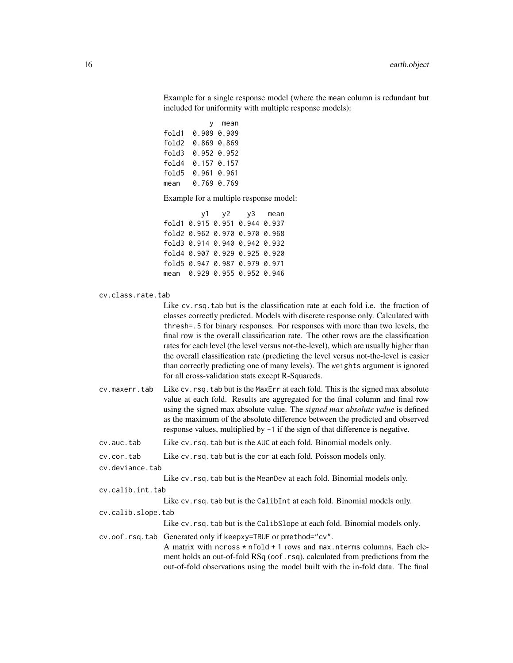Example for a single response model (where the mean column is redundant but included for uniformity with multiple response models):

y mean fold1 0.909 0.909 fold2 0.869 0.869 fold3 0.952 0.952 fold4 0.157 0.157 fold5 0.961 0.961 mean 0.769 0.769

Example for a multiple response model:

y1 y2 y3 mean fold1 0.915 0.951 0.944 0.937 fold2 0.962 0.970 0.970 0.968 fold3 0.914 0.940 0.942 0.932 fold4 0.907 0.929 0.925 0.920 fold5 0.947 0.987 0.979 0.971 mean 0.929 0.955 0.952 0.946

```
cv.class.rate.tab
```
Like cv. rsq. tab but is the classification rate at each fold i.e. the fraction of classes correctly predicted. Models with discrete response only. Calculated with thresh=.5 for binary responses. For responses with more than two levels, the final row is the overall classification rate. The other rows are the classification rates for each level (the level versus not-the-level), which are usually higher than the overall classification rate (predicting the level versus not-the-level is easier than correctly predicting one of many levels). The weights argument is ignored for all cross-validation stats except R-Squareds.

- cv.maxerr.tab Like cv.rsq.tab but is the MaxErr at each fold. This is the signed max absolute value at each fold. Results are aggregated for the final column and final row using the signed max absolute value. The *signed max absolute value* is defined as the maximum of the absolute difference between the predicted and observed response values, multiplied by -1 if the sign of that difference is negative.
- cv.auc.tab Like cv.rsq.tab but is the AUC at each fold. Binomial models only.
- cv.cor.tab Like cv.rsq.tab but is the cor at each fold. Poisson models only.
- cv.deviance.tab
	- Like cv.rsq.tab but is the MeanDev at each fold. Binomial models only.
- cv.calib.int.tab

Like cv.rsq.tab but is the CalibInt at each fold. Binomial models only.

cv.calib.slope.tab

Like cv.rsq.tab but is the CalibSlope at each fold. Binomial models only.

cv.oof.rsq.tab Generated only if keepxy=TRUE or pmethod="cv".

A matrix with ncross \* nfold + 1 rows and max.nterms columns, Each element holds an out-of-fold RSq (oof.rsq), calculated from predictions from the out-of-fold observations using the model built with the in-fold data. The final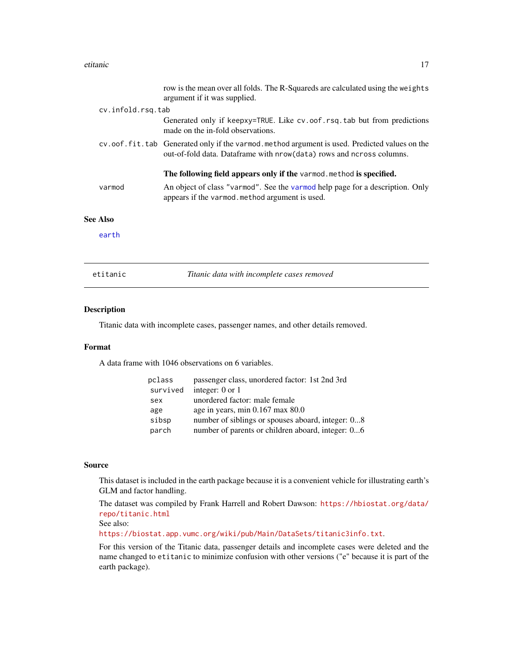### <span id="page-16-0"></span>etitanic 17

| etitanic          | Titanic data with incomplete cases removed                                                                                                                                                             |
|-------------------|--------------------------------------------------------------------------------------------------------------------------------------------------------------------------------------------------------|
| earth             |                                                                                                                                                                                                        |
| <b>See Also</b>   |                                                                                                                                                                                                        |
| varmod            | The following field appears only if the varmod method is specified.<br>An object of class "varmod". See the varmod help page for a description. Only<br>appears if the varmod method argument is used. |
|                   | cv.oof.fit.tab Generated only if the varmod.method argument is used. Predicted values on the<br>out-of-fold data. Dataframe with $nrow(data)$ rows and ncross columns.                                 |
|                   | Generated only if keepxy=TRUE. Like cv.oof.rsq.tab but from predictions<br>made on the in-fold observations.                                                                                           |
| cv.infold.rsq.tab |                                                                                                                                                                                                        |
|                   | row is the mean over all folds. The R-Squareds are calculated using the weights<br>argument if it was supplied.                                                                                        |

# Description

Titanic data with incomplete cases, passenger names, and other details removed.

### Format

A data frame with 1046 observations on 6 variables.

| pclass   | passenger class, unordered factor: 1st 2nd 3rd    |
|----------|---------------------------------------------------|
| survived | integer: $0$ or $1$                               |
| sex      | unordered factor: male female                     |
| age      | age in years, min 0.167 max 80.0                  |
| sibsp    | number of siblings or spouses aboard, integer: 08 |
| parch    | number of parents or children aboard, integer: 06 |

# Source

This dataset is included in the earth package because it is a convenient vehicle for illustrating earth's GLM and factor handling.

The dataset was compiled by Frank Harrell and Robert Dawson: [https://hbiostat.org/data/](https://hbiostat.org/data/repo/titanic.html) [repo/titanic.html](https://hbiostat.org/data/repo/titanic.html)

See also:

<https://biostat.app.vumc.org/wiki/pub/Main/DataSets/titanic3info.txt>.

For this version of the Titanic data, passenger details and incomplete cases were deleted and the name changed to etitanic to minimize confusion with other versions ("e" because it is part of the earth package).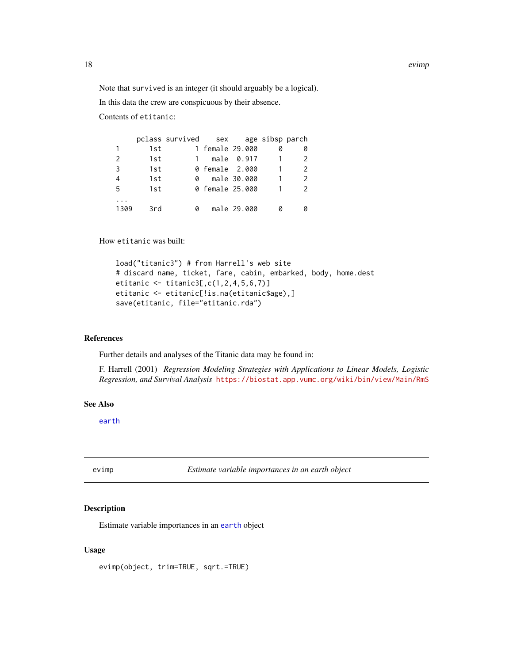<span id="page-17-0"></span>Note that survived is an integer (it should arguably be a logical).

In this data the crew are conspicuous by their absence.

Contents of etitanic:

|              |     | pclass survived sex age sibsp parch |                 |             |               |
|--------------|-----|-------------------------------------|-----------------|-------------|---------------|
| $\mathbf{1}$ | 1st |                                     | 1 female 29.000 |             |               |
| 2            | 1st |                                     |                 | male 0.917  |               |
| 3            | 1st |                                     | 0 female 2.000  |             | $\mathcal{P}$ |
| 4            | 1st |                                     | 0 male 30.000   |             | $\mathcal{P}$ |
| 5            | 1st |                                     | 0 female 25.000 |             |               |
|              |     |                                     |                 |             |               |
| 1309         | 3rd | 0                                   |                 | male 29.000 |               |

How etitanic was built:

```
load("titanic3") # from Harrell's web site
# discard name, ticket, fare, cabin, embarked, body, home.dest
etitanic <- titanic3[,c(1,2,4,5,6,7)]
etitanic <- etitanic[!is.na(etitanic$age),]
save(etitanic, file="etitanic.rda")
```
### References

Further details and analyses of the Titanic data may be found in:

F. Harrell (2001) *Regression Modeling Strategies with Applications to Linear Models, Logistic Regression, and Survival Analysis* <https://biostat.app.vumc.org/wiki/bin/view/Main/RmS>

### See Also

[earth](#page-2-1)

<span id="page-17-1"></span>evimp *Estimate variable importances in an earth object*

# Description

Estimate variable importances in an [earth](#page-2-1) object

### Usage

evimp(object, trim=TRUE, sqrt.=TRUE)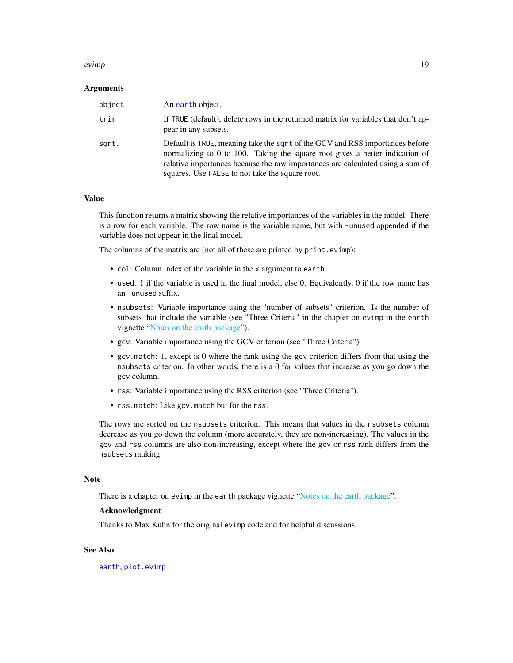### <span id="page-18-0"></span>evimp and the set of the set of the set of the set of the set of the set of the set of the set of the set of the set of the set of the set of the set of the set of the set of the set of the set of the set of the set of the

### Arguments

| object | An earth object.                                                                                                                                                                                                                                                                                       |
|--------|--------------------------------------------------------------------------------------------------------------------------------------------------------------------------------------------------------------------------------------------------------------------------------------------------------|
| trim   | If TRUE (default), delete rows in the returned matrix for variables that don't ap-<br>pear in any subsets.                                                                                                                                                                                             |
| sqrt.  | Default is TRUE, meaning take the sqrt of the GCV and RSS importances before<br>normalizing to $0$ to $100$ . Taking the square root gives a better indication of<br>relative importances because the raw importances are calculated using a sum of<br>squares. Use FALSE to not take the square root. |

### Value

This function returns a matrix showing the relative importances of the variables in the model. There is a row for each variable. The row name is the variable name, but with -unused appended if the variable does not appear in the final model.

The columns of the matrix are (not all of these are printed by print.evimp):

- col: Column index of the variable in the x argument to earth.
- used: 1 if the variable is used in the final model, else 0. Equivalently, 0 if the row name has an -unused suffix.
- nsubsets: Variable importance using the "number of subsets" criterion. Is the number of subsets that include the variable (see "Three Criteria" in the chapter on evimp in the earth vignette ["Notes on the earth package"](#page-0-0)).
- gcv: Variable importance using the GCV criterion (see "Three Criteria").
- gcv.match: 1, except is 0 where the rank using the gcv criterion differs from that using the nsubsets criterion. In other words, there is a 0 for values that increase as you go down the gcv column.
- rss: Variable importance using the RSS criterion (see "Three Criteria").
- rss.match: Like gcv.match but for the rss.

The rows are sorted on the nsubsets criterion. This means that values in the nsubsets column decrease as you go down the column (more accurately, they are non-increasing). The values in the gcv and rss columns are also non-increasing, except where the gcv or rss rank differs from the nsubsets ranking.

#### Note

There is a chapter on evimp in the earth package vignette ["Notes on the earth package"](#page-0-0).

### Acknowledgment

Thanks to Max Kuhn for the original evimp code and for helpful discussions.

# See Also

[earth](#page-2-1), [plot.evimp](#page-32-1)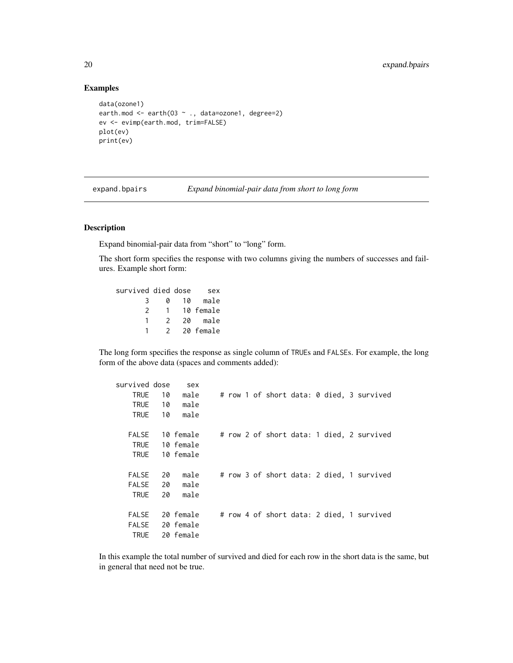# Examples

```
data(ozone1)
earth.mod <- earth(03 ~ ., data=ozone1, degree=2)
ev <- evimp(earth.mod, trim=FALSE)
plot(ev)
print(ev)
```

| expand.bpairs | Expand binomial-pair data from short to long form |  |
|---------------|---------------------------------------------------|--|
|               |                                                   |  |

# Description

Expand binomial-pair data from "short" to "long" form.

The short form specifies the response with two columns giving the numbers of successes and failures. Example short form:

| survived died dose |               |    | sex       |
|--------------------|---------------|----|-----------|
| 3                  | a             | 10 | male      |
| 2                  |               |    | 10 female |
|                    | 2             | 20 | male      |
|                    | $\mathcal{P}$ |    | 20 female |

The long form specifies the response as single column of TRUEs and FALSEs. For example, the long form of the above data (spaces and comments added):

| survived dose |    | sex       |  |  |  |  |                                           |
|---------------|----|-----------|--|--|--|--|-------------------------------------------|
| <b>TRUE</b>   | 10 | male      |  |  |  |  | # row 1 of short data: 0 died, 3 survived |
| TRUE          | 10 | male      |  |  |  |  |                                           |
| <b>TRUE</b>   | 10 | male      |  |  |  |  |                                           |
|               |    |           |  |  |  |  |                                           |
| FALSE         |    | 10 female |  |  |  |  | # row 2 of short data: 1 died, 2 survived |
| TRUE          |    | 10 female |  |  |  |  |                                           |
| <b>TRUE</b>   |    | 10 female |  |  |  |  |                                           |
|               |    |           |  |  |  |  |                                           |
| <b>FALSE</b>  | 20 | male      |  |  |  |  | # row 3 of short data: 2 died, 1 survived |
| FALSE         | 20 | male      |  |  |  |  |                                           |
| <b>TRUE</b>   | 20 | male      |  |  |  |  |                                           |
|               |    |           |  |  |  |  |                                           |
| <b>FALSE</b>  |    | 20 female |  |  |  |  | # row 4 of short data: 2 died, 1 survived |
| FALSE         |    | 20 female |  |  |  |  |                                           |
| <b>TRUE</b>   |    | 20 female |  |  |  |  |                                           |

In this example the total number of survived and died for each row in the short data is the same, but in general that need not be true.

<span id="page-19-0"></span>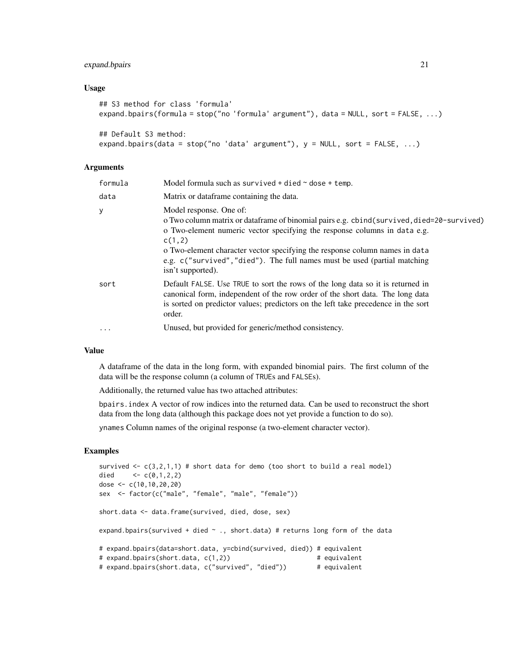# expand.bpairs 21

### Usage

```
## S3 method for class 'formula'
expand.bpairs(formula = stop("no 'formula' argument"), data = NULL, sort = FALSE, ...)
## Default S3 method:
```

```
expand.bpairs(data = stop("no 'data' argument"), y = NULL, sort = FALSE, ...)
```
# **Arguments**

| formula  | Model formula such as survived + died $\sim$ dose + temp.                                                                                                                                                                                                                                                                                                                                     |
|----------|-----------------------------------------------------------------------------------------------------------------------------------------------------------------------------------------------------------------------------------------------------------------------------------------------------------------------------------------------------------------------------------------------|
| data     | Matrix or dataframe containing the data.                                                                                                                                                                                                                                                                                                                                                      |
| у        | Model response. One of:<br>o Two column matrix or dataframe of binomial pairs e.g. cbind (survived, died=20-survived)<br>o Two-element numeric vector specifying the response columns in data e.g.<br>c(1,2)<br>o Two-element character vector specifying the response column names in data<br>e.g. c("survived", "died"). The full names must be used (partial matching<br>isn't supported). |
| sort     | Default FALSE. Use TRUE to sort the rows of the long data so it is returned in<br>canonical form, independent of the row order of the short data. The long data<br>is sorted on predictor values; predictors on the left take precedence in the sort<br>order.                                                                                                                                |
| $\cdots$ | Unused, but provided for generic/method consistency.                                                                                                                                                                                                                                                                                                                                          |

# Value

A dataframe of the data in the long form, with expanded binomial pairs. The first column of the data will be the response column (a column of TRUEs and FALSEs).

Additionally, the returned value has two attached attributes:

bpairs.index A vector of row indices into the returned data. Can be used to reconstruct the short data from the long data (although this package does not yet provide a function to do so).

ynames Column names of the original response (a two-element character vector).

# Examples

```
survived \leq c(3,2,1,1) # short data for demo (too short to build a real model)
died \langle -c(0,1,2,2) \rangledose <- c(10,10,20,20)
sex <- factor(c("male", "female", "male", "female"))
short.data <- data.frame(survived, died, dose, sex)
expand.bpairs(survived + died \sim ., short.data) # returns long form of the data
# expand.bpairs(data=short.data, y=cbind(survived, died)) # equivalent
# expand.bpairs(short.data, c(1,2)) # equivalent
# expand.bpairs(short.data, c("survived", "died")) # equivalent
```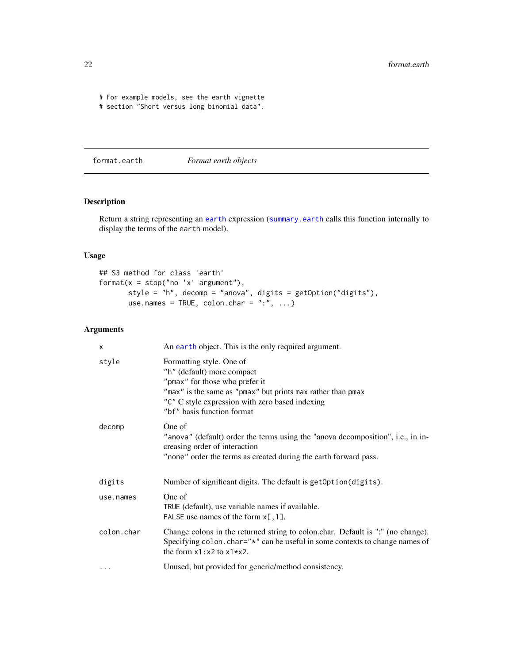<span id="page-21-0"></span># For example models, see the earth vignette

# section "Short versus long binomial data".

<span id="page-21-1"></span>format.earth *Format earth objects*

# Description

Return a string representing an [earth](#page-2-1) expression ([summary.earth](#page-44-1) calls this function internally to display the terms of the earth model).

# Usage

```
## S3 method for class 'earth'
format(x = stop("no 'x' argument"),style = "h", decomp = "anova", digits = getOption("digits"),
      use.names = TRUE, colon.char = ":", ...)
```
# Arguments

| X          | An earth object. This is the only required argument.                                                                                                                                                                                     |
|------------|------------------------------------------------------------------------------------------------------------------------------------------------------------------------------------------------------------------------------------------|
| style      | Formatting style. One of<br>"h" (default) more compact<br>"pmax" for those who prefer it<br>"max" is the same as "pmax" but prints max rather than pmax<br>"C" C style expression with zero based indexing<br>"bf" basis function format |
| decomp     | One of<br>"anova" (default) order the terms using the "anova decomposition", i.e., in in-<br>creasing order of interaction<br>"none" order the terms as created during the earth forward pass.                                           |
| digits     | Number of significant digits. The default is getoption (digits).                                                                                                                                                                         |
| use.names  | One of<br>TRUE (default), use variable names if available.<br>FALSE use names of the form $x$ [, 1].                                                                                                                                     |
| colon.char | Change colons in the returned string to colon.char. Default is ":" (no change).<br>Specifying colon. char="*" can be useful in some contexts to change names of<br>the form $x1 : x2$ to $x1 * x2$ .                                     |
| $\cdots$   | Unused, but provided for generic/method consistency.                                                                                                                                                                                     |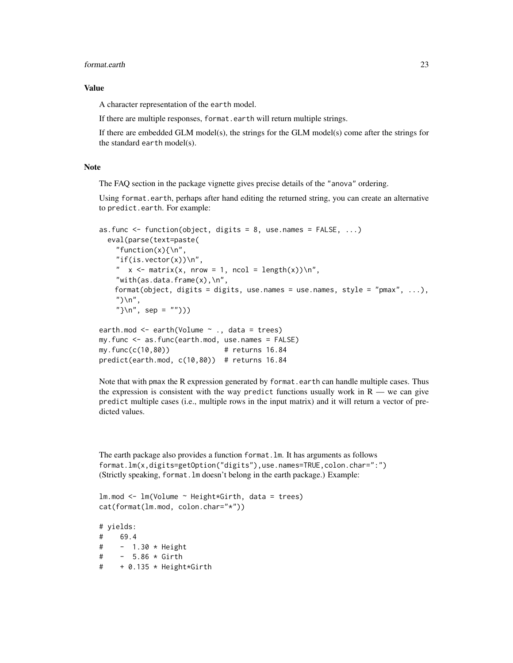### format.earth 23

# Value

A character representation of the earth model.

If there are multiple responses, format.earth will return multiple strings.

If there are embedded GLM model(s), the strings for the GLM model(s) come after the strings for the standard earth model(s).

# Note

The FAQ section in the package vignette gives precise details of the "anova" ordering.

Using format.earth, perhaps after hand editing the returned string, you can create an alternative to predict.earth. For example:

```
as.func \leq function(object, digits = 8, use.names = FALSE, ...)
  eval(parse(text=paste(
    "function(x){\n",
    "if(is.vector(x))\n\",
    " x \leq matrix(x, nrow = 1, ncol = length(x))\n",
    "with(as.data.frame(x), \n",
   format(object, digits = digits, use.names = use.names, style = "pmax", ...),
    ")\n\infty",
    "\} \n\ln", sep = "")))
earth.mod <- earth(Volume ~ ., data = trees)
```

```
my.func <- as.func(earth.mod, use.names = FALSE)
my.func(c(10,80)) # returns 16.84
predict(earth.mod, c(10,80)) # returns 16.84
```
Note that with pmax the R expression generated by format.earth can handle multiple cases. Thus the expression is consistent with the way predict functions usually work in  $R$  — we can give predict multiple cases (i.e., multiple rows in the input matrix) and it will return a vector of predicted values.

The earth package also provides a function format.lm. It has arguments as follows format.lm(x,digits=getOption("digits"),use.names=TRUE,colon.char=":") (Strictly speaking, format.lm doesn't belong in the earth package.) Example:

```
lm.mod <- lm(Volume ~ Height*Girth, data = trees)
cat(format(lm.mod, colon.char="*"))
```
# yields: # 69.4 # - 1.30 \* Height # - 5.86 \* Girth # + 0.135 \* Height\*Girth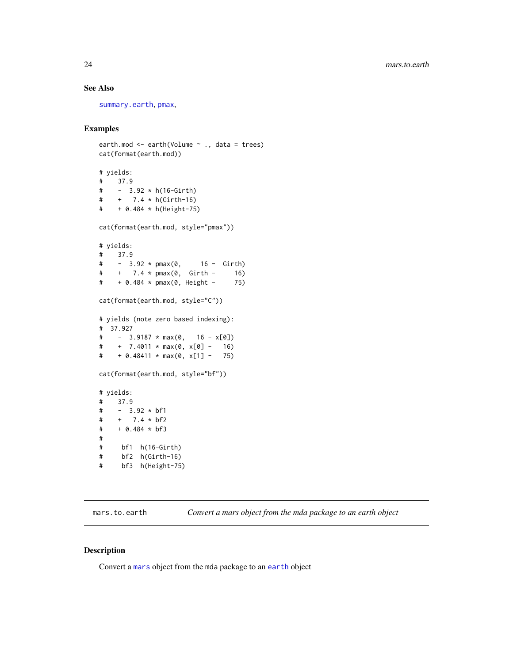# <span id="page-23-0"></span>See Also

[summary.earth](#page-44-1), [pmax](#page-0-0),

# Examples

```
earth.mod \leq earth(Volume \leq ., data = trees)
cat(format(earth.mod))
# yields:
# 37.9
# - 3.92 * h(16-Girth)
# + 7.4 * h(Girth-16)
# + 0.484 * h(Height-75)
cat(format(earth.mod, style="pmax"))
# yields:
# 37.9
# - 3.92 * pmax(0, 16 - Girth)
# + 7.4 * pmax(0, Girth - 16)
# + 0.484 * pmax(0, Height - 75)
cat(format(earth.mod, style="C"))
# yields (note zero based indexing):
# 37.927
# - 3.9187 * max(0, 16 - x[0])
\# + 7.4011 \star max(0, x[0] - 16)
\# + 0.48411 * max(0, x[1] - 75)
cat(format(earth.mod, style="bf"))
# yields:
# 37.9
# - 3.92 * bf1
# + 7.4 * bf2
# + 0.484 * bf3
#
# bf1 h(16-Girth)
# bf2 h(Girth-16)
# bf3 h(Height-75)
```
mars.to.earth *Convert a mars object from the mda package to an earth object*

### Description

Convert a [mars](#page-0-0) object from the mda package to an [earth](#page-2-1) object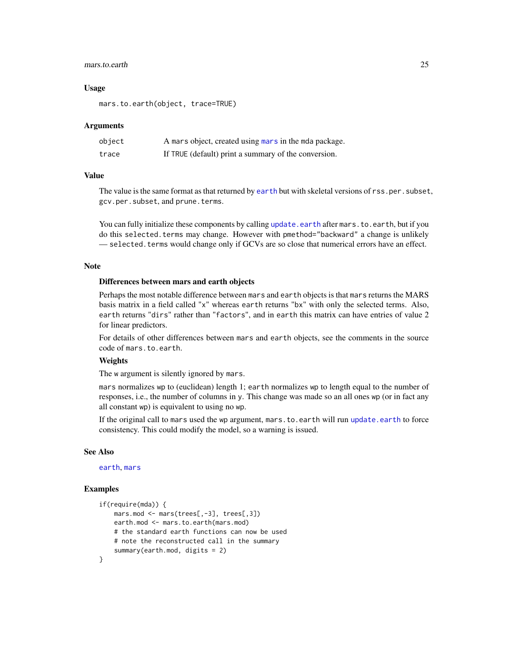### <span id="page-24-0"></span>mars.to.earth 25

### Usage

mars.to.earth(object, trace=TRUE)

### Arguments

| object | A mars object, created using mars in the mda package. |
|--------|-------------------------------------------------------|
| trace  | If TRUE (default) print a summary of the conversion.  |

# Value

The value is the same format as that returned by [earth](#page-2-1) but with skeletal versions of rss.per.subset, gcv.per.subset, and prune.terms.

You can fully initialize these components by calling [update.earth](#page-46-1) after mars.to.earth, but if you do this selected.terms may change. However with pmethod="backward" a change is unlikely — selected. terms would change only if GCVs are so close that numerical errors have an effect.

### **Note**

### Differences between mars and earth objects

Perhaps the most notable difference between mars and earth objects is that mars returns the MARS basis matrix in a field called "x" whereas earth returns "bx" with only the selected terms. Also, earth returns "dirs" rather than "factors", and in earth this matrix can have entries of value 2 for linear predictors.

For details of other differences between mars and earth objects, see the comments in the source code of mars.to.earth.

# **Weights**

The w argument is silently ignored by mars.

mars normalizes wp to (euclidean) length 1; earth normalizes wp to length equal to the number of responses, i.e., the number of columns in y. This change was made so an all ones wp (or in fact any all constant wp) is equivalent to using no wp.

If the original call to mars used the wp argument, mars. to. earth will run update. earth to force consistency. This could modify the model, so a warning is issued.

### See Also

[earth](#page-2-1), [mars](#page-0-0)

### Examples

```
if(require(mda)) {
   mars.mod <- mars(trees[,-3], trees[,3])
    earth.mod <- mars.to.earth(mars.mod)
    # the standard earth functions can now be used
    # note the reconstructed call in the summary
    summary(earth.mod, digits = 2)
}
```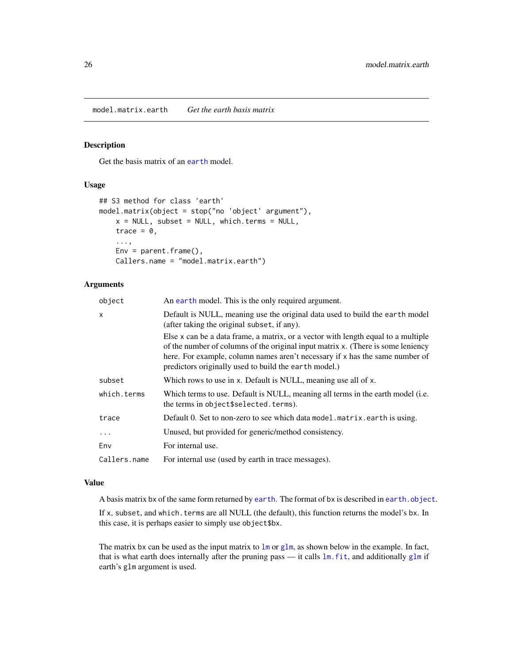<span id="page-25-1"></span><span id="page-25-0"></span>model.matrix.earth *Get the earth basis matrix*

### Description

Get the basis matrix of an [earth](#page-2-1) model.

# Usage

```
## S3 method for class 'earth'
model.matrix(object = stop("no 'object' argument"),
    x = NULL, subset = NULL, which.terms = NULL,
    trace = \theta,
    ...,
    Env = parent.frame(),
    Callers.name = "model.matrix.earth")
```
# Arguments

| object       | An earth model. This is the only required argument.                                                                                                                                                                                                                                                            |
|--------------|----------------------------------------------------------------------------------------------------------------------------------------------------------------------------------------------------------------------------------------------------------------------------------------------------------------|
| $\mathsf{x}$ | Default is NULL, meaning use the original data used to build the earth model<br>(after taking the original subset, if any).                                                                                                                                                                                    |
|              | Else x can be a data frame, a matrix, or a vector with length equal to a multiple<br>of the number of columns of the original input matrix x. (There is some leniency<br>here. For example, column names aren't necessary if x has the same number of<br>predictors originally used to build the earth model.) |
| subset       | Which rows to use in x. Default is NULL, meaning use all of x.                                                                                                                                                                                                                                                 |
| which.terms  | Which terms to use. Default is NULL, meaning all terms in the earth model (i.e.<br>the terms in object\$selected.terms).                                                                                                                                                                                       |
| trace        | Default 0. Set to non-zero to see which data model matrix earth is using.                                                                                                                                                                                                                                      |
| $\ddotsc$    | Unused, but provided for generic/method consistency.                                                                                                                                                                                                                                                           |
| Env          | For internal use.                                                                                                                                                                                                                                                                                              |
| Callers.name | For internal use (used by earth in trace messages).                                                                                                                                                                                                                                                            |

# Value

A basis matrix bx of the same form returned by [earth](#page-2-1). The format of bx is described in [earth.object](#page-10-1).

If x, subset, and which. terms are all NULL (the default), this function returns the model's bx. In this case, it is perhaps easier to simply use object\$bx.

The matrix bx can be used as the input matrix to  $\text{lm}$  $\text{lm}$  $\text{lm}$  or [glm](#page-0-0), as shown below in the example. In fact, that is what earth does internally after the pruning pass — it calls [lm.fit](#page-0-0), and additionally [glm](#page-0-0) if earth's glm argument is used.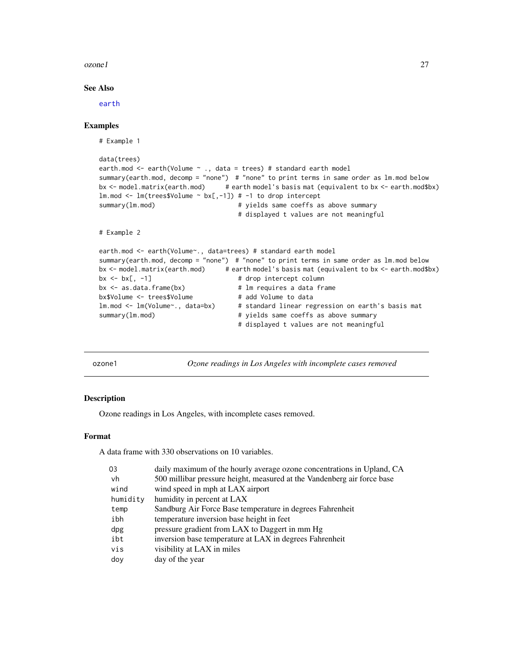### <span id="page-26-0"></span> $ozone1$  27

# See Also

[earth](#page-2-1)

# Examples

```
# Example 1
data(trees)
earth.mod <- earth(Volume \sim ., data = trees) # standard earth model
summary(earth.mod, decomp = "none") # "none" to print terms in same order as lm.mod below
bx <- model.matrix(earth.mod) # earth model's basis mat (equivalent to bx <- earth.mod$bx)
lm.mod \leftarrow lm(trees$Volume \sim bx[, -1]) # -1 to drop interceptsummary(lm.mod) \qquad # yields same coeffs as above summary
                                   # displayed t values are not meaningful
# Example 2
earth.mod <- earth(Volume~., data=trees) # standard earth model
summary(earth.mod, decomp = "none") # "none" to print terms in same order as lm.mod below
bx <- model.matrix(earth.mod) # earth model's basis mat (equivalent to bx <- earth.mod$bx)
bx <- bx[, -1] # drop intercept column
                                   # lm requires a data frame
bx$Volume <- trees$Volume # add Volume to data
lm.mod <- lm(Volume~., data=bx) # standard linear regression on earth's basis mat
summary(lm.mod) \qquad \qquad \qquad # yields same coeffs as above summary
                                    # displayed t values are not meaningful
```
<span id="page-26-1"></span>ozone1 *Ozone readings in Los Angeles with incomplete cases removed*

# Description

Ozone readings in Los Angeles, with incomplete cases removed.

#### Format

A data frame with 330 observations on 10 variables.

| daily maximum of the hourly average ozone concentrations in Upland, CA  |
|-------------------------------------------------------------------------|
| 500 millibar pressure height, measured at the Vandenberg air force base |
| wind speed in mph at LAX airport                                        |
| humidity in percent at LAX                                              |
| Sandburg Air Force Base temperature in degrees Fahrenheit               |
| temperature inversion base height in feet                               |
| pressure gradient from LAX to Daggert in mm Hg                          |
| inversion base temperature at LAX in degrees Fahrenheit                 |
| visibility at LAX in miles                                              |
| day of the year                                                         |
|                                                                         |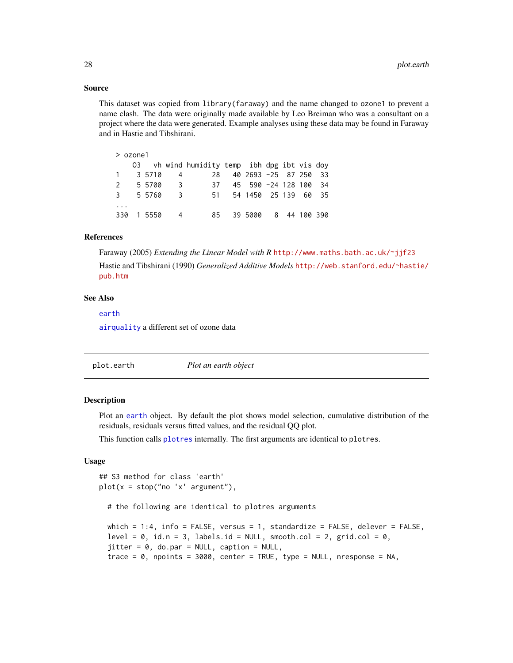### Source

This dataset was copied from library(faraway) and the name changed to ozone1 to prevent a name clash. The data were originally made available by Leo Breiman who was a consultant on a project where the data were generated. Example analyses using these data may be found in Faraway and in Hastie and Tibshirani.

|              | $>$ ozone1 |        |                         |                                              |                       |  |              |  |
|--------------|------------|--------|-------------------------|----------------------------------------------|-----------------------|--|--------------|--|
|              |            |        |                         | 03 vh wind humidity temp ibh dpg ibt vis doy |                       |  |              |  |
|              |            | 3 5710 | 4                       | 28.                                          | 40 2693 -25 87 250 33 |  |              |  |
| 2            |            | 5 5700 | $\overline{\mathbf{3}}$ | 37                                           | 45 590 -24 128 100 34 |  |              |  |
| $\mathbf{3}$ |            | 5 5760 | $\overline{\mathbf{3}}$ | 51                                           | 54 1450 25 139 60 35  |  |              |  |
|              |            |        |                         |                                              |                       |  |              |  |
| 330          |            | 1 5550 | 4                       | 85.                                          | 39 5000               |  | 8 44 100 390 |  |

# References

Faraway (2005) *Extending the Linear Model with R* <http://www.maths.bath.ac.uk/~jjf23> Hastie and Tibshirani (1990) *Generalized Additive Models* [http://web.stanford.edu/~hastie/](http://web.stanford.edu/~hastie/pub.htm) [pub.htm](http://web.stanford.edu/~hastie/pub.htm)

# See Also

[earth](#page-2-1) [airquality](#page-0-0) a different set of ozone data

<span id="page-27-1"></span>

| plot.earth | Plot an earth object |  |
|------------|----------------------|--|
|            |                      |  |

# Description

Plot an [earth](#page-2-1) object. By default the plot shows model selection, cumulative distribution of the residuals, residuals versus fitted values, and the residual QQ plot.

This function calls [plotres](#page-0-0) internally. The first arguments are identical to plotres.

# Usage

```
## S3 method for class 'earth'
plot(x = stop("no 'x' argument"),# the following are identical to plotres arguments
 which = 1:4, info = FALSE, versus = 1, standardize = FALSE, delever = FALSE,
  level = 0, id.n = 3, labels.id = NULL, smooth.col = 2, grid.col = 0,
  jitter = 0, do.par = NULL, caption = NULL,
  trace = \theta, npoints = 3000, center = TRUE, type = NULL, nresponse = NA,
```
<span id="page-27-0"></span>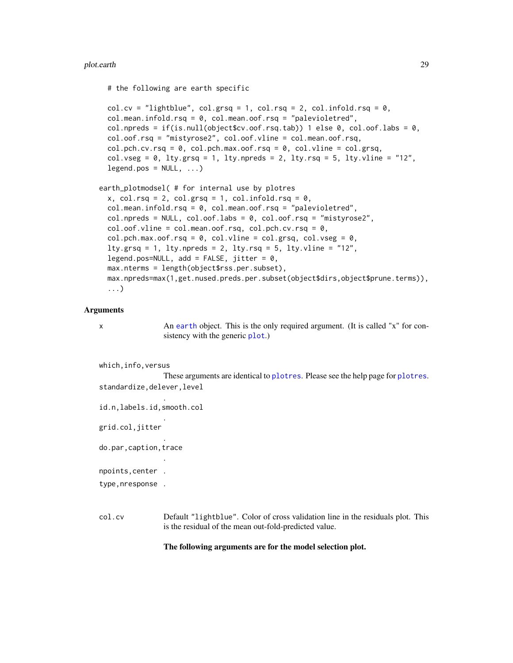### <span id="page-28-0"></span>plot.earth 29

# the following are earth specific

```
col.cv = "lightblue", col.grsq = 1, col.rsq = 2, col.infold.rsq = 0,
col.mean.infold.rsq = 0, col.mean.oof.rsq = "palevioletred",
col.npreds = if(is.null(object$cv.oof.rsq.tab)) 1 else 0, col.oof.labs = 0,
col.oof.rsq = "mistyrose2", col.oof.vline = col.mean.oof.rsq,
col.pch.cv.rsq = 0, col.pch.max.oof.rsq = 0, col.vline = col.grsq,
col.vseg = 0, lty.grsq = 1, lty.npreds = 2, lty.rsq = 5, lty.vline = "12",
legend.pos = NULL, ...
```

```
earth_plotmodsel( # for internal use by plotres
 x, col.rsq = 2, col.grsq = 1, col.infold.rsq = 0,
```

```
col.mean.infold.rsq = 0, col.mean.oof.rsq = "palevioletred",
col.npreds = NULL, col.oof.labs = 0, col.oof.rsq = 'mistyrose2',col.oof.vline = col.mean.oof.rsq, col.pch.cv.rsq = 0,
col.pch.max.oof.rsq = 0, col.vline = col.grsq, col.vseg = 0,
lty.grsq = 1, lty.npreds = 2, lty.rsq = 5, lty.vline = "12",
legend.pos=NULL, add = FALSE, jitter = 0,
max.nterms = length(object$rss.per.subset),
max.npreds=max(1,get.nused.preds.per.subset(object$dirs,object$prune.terms)),
...)
```
## **Arguments**

x An [earth](#page-2-1) object. This is the only required argument. (It is called "x" for consistency with the generic [plot](#page-0-0).)

```
which,info,versus
```
These arguments are identical to [plotres](#page-0-0). Please see the help page for [plotres](#page-0-0). standardize,delever,level

id.n,labels.id,smooth.col

.

.

.

.

grid.col,jitter

do.par,caption,trace

npoints,center .

type,nresponse .

col.cv Default "lightblue". Color of cross validation line in the residuals plot. This is the residual of the mean out-fold-predicted value.

# The following arguments are for the model selection plot.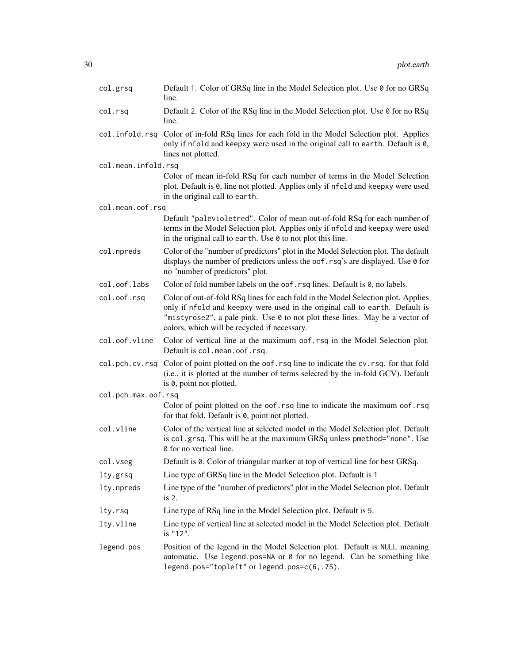| col.grsq            | Default 1. Color of GRSq line in the Model Selection plot. Use 0 for no GRSq<br>line.                                                                                                                                                                                                             |
|---------------------|---------------------------------------------------------------------------------------------------------------------------------------------------------------------------------------------------------------------------------------------------------------------------------------------------|
| col.rsq             | Default 2. Color of the RSq line in the Model Selection plot. Use 0 for no RSq<br>line.                                                                                                                                                                                                           |
| col.infold.rsq      | Color of in-fold RSq lines for each fold in the Model Selection plot. Applies<br>only if nfold and keepxy were used in the original call to earth. Default is 0,<br>lines not plotted.                                                                                                            |
| col.mean.infold.rsq |                                                                                                                                                                                                                                                                                                   |
|                     | Color of mean in-fold RSq for each number of terms in the Model Selection<br>plot. Default is 0, line not plotted. Applies only if nfold and keepxy were used<br>in the original call to earth.                                                                                                   |
| col.mean.oof.rsq    |                                                                                                                                                                                                                                                                                                   |
|                     | Default "palevioletred". Color of mean out-of-fold RSq for each number of<br>terms in the Model Selection plot. Applies only if nfold and keepxy were used<br>in the original call to earth. Use 0 to not plot this line.                                                                         |
| col.npreds          | Color of the "number of predictors" plot in the Model Selection plot. The default<br>displays the number of predictors unless the oof. rsq's are displayed. Use 0 for<br>no "number of predictors" plot.                                                                                          |
| col.oof.labs        | Color of fold number labels on the oof. rsq lines. Default is 0, no labels.                                                                                                                                                                                                                       |
| col.oof.rsq         | Color of out-of-fold RSq lines for each fold in the Model Selection plot. Applies<br>only if nfold and keepxy were used in the original call to earth. Default is<br>"mistyrose2", a pale pink. Use 0 to not plot these lines. May be a vector of<br>colors, which will be recycled if necessary. |
| col.oof.vline       | Color of vertical line at the maximum oof rsq in the Model Selection plot.<br>Default is col.mean.oof.rsq.                                                                                                                                                                                        |
| col.pch.cv.rsq      | Color of point plotted on the oof. rsq line to indicate the cv. rsq. for that fold<br>(i.e., it is plotted at the number of terms selected by the in-fold GCV). Default<br>is 0, point not plotted.                                                                                               |
| col.pch.max.oof.rsq |                                                                                                                                                                                                                                                                                                   |
|                     | Color of point plotted on the oof.rsq line to indicate the maximum oof.rsq<br>for that fold. Default is 0, point not plotted.                                                                                                                                                                     |
| col.vline           | Color of the vertical line at selected model in the Model Selection plot. Default<br>is col.grsq. This will be at the maximum GRSq unless pmethod="none". Use<br>0 for no vertical line.                                                                                                          |
| col.vseg            | Default is 0. Color of triangular marker at top of vertical line for best GRSq.                                                                                                                                                                                                                   |
| lty.grsq            | Line type of GRSq line in the Model Selection plot. Default is 1                                                                                                                                                                                                                                  |
| lty.npreds          | Line type of the "number of predictors" plot in the Model Selection plot. Default<br>is 2.                                                                                                                                                                                                        |
| lty.rsq             | Line type of RSq line in the Model Selection plot. Default is 5.                                                                                                                                                                                                                                  |
| lty.vline           | Line type of vertical line at selected model in the Model Selection plot. Default<br>is "12".                                                                                                                                                                                                     |
| legend.pos          | Position of the legend in the Model Selection plot. Default is NULL meaning<br>automatic. Use legend.pos=NA or 0 for no legend. Can be something like<br>legend.pos="topleft" or legend.pos=c(6,.75).                                                                                             |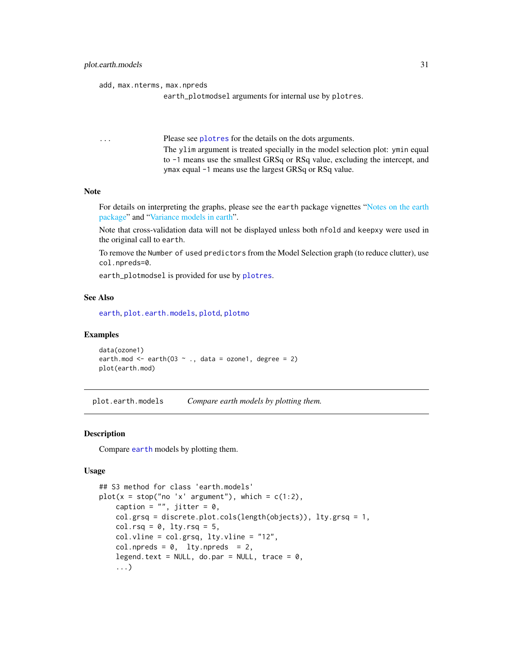```
add, max.nterms, max.npreds
```

```
earth_plotmodsel arguments for internal use by plotres.
```
... Please see [plotres](#page-0-0) for the details on the dots arguments. The ylim argument is treated specially in the model selection plot: ymin equal to -1 means use the smallest GRSq or RSq value, excluding the intercept, and ymax equal -1 means use the largest GRSq or RSq value.

# Note

For details on interpreting the graphs, please see the earth package vignettes ["Notes on the earth](#page-0-0) [package"](#page-0-0) and ["Variance models in earth"](#page-0-0).

Note that cross-validation data will not be displayed unless both nfold and keepxy were used in the original call to earth.

To remove the Number of used predictors from the Model Selection graph (to reduce clutter), use col.npreds=0.

earth\_plotmodsel is provided for use by [plotres](#page-0-0).

#### See Also

[earth](#page-2-1), [plot.earth.models](#page-30-1), [plotd](#page-34-1), [plotmo](#page-0-0)

### Examples

```
data(ozone1)
earth.mod \leq earth(03 \sim ., data = ozone1, degree = 2)
plot(earth.mod)
```
<span id="page-30-1"></span>plot.earth.models *Compare earth models by plotting them.*

# **Description**

Compare [earth](#page-2-1) models by plotting them.

### Usage

```
## S3 method for class 'earth.models'
plot(x = stop("no 'x' argument"), which = c(1:2),caption = ", jitter = 0,
   col.grsq = discrete.plot.cols(length(objects)), lty.grsq = 1,
   col.rsq = 0, lty.rsq = 5,
    col.vline = col.grsq, lty.vline = "12",col.npreds = 0, lty.npreds = 2,
   legend.text = NULL, do.par = NULL, trace = 0,
    ...)
```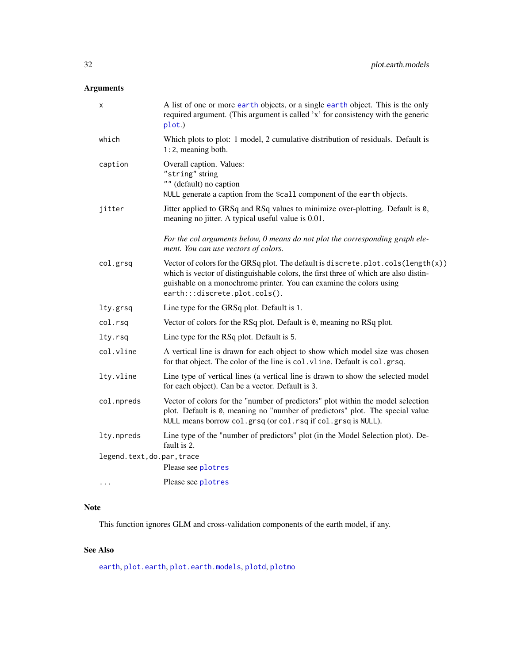# <span id="page-31-0"></span>Arguments

| X                          | A list of one or more earth objects, or a single earth object. This is the only<br>required argument. (This argument is called 'x' for consistency with the generic<br>plot.)                                                                                                    |
|----------------------------|----------------------------------------------------------------------------------------------------------------------------------------------------------------------------------------------------------------------------------------------------------------------------------|
| which                      | Which plots to plot: 1 model, 2 cumulative distribution of residuals. Default is<br>$1:2$ , meaning both.                                                                                                                                                                        |
| caption                    | Overall caption. Values:<br>"string" string<br>"" (default) no caption<br>NULL generate a caption from the \$call component of the earth objects.                                                                                                                                |
| jitter                     | Jitter applied to GRSq and RSq values to minimize over-plotting. Default is 0,<br>meaning no jitter. A typical useful value is 0.01.                                                                                                                                             |
|                            | For the col arguments below, 0 means do not plot the corresponding graph ele-<br>ment. You can use vectors of colors.                                                                                                                                                            |
| col.grsq                   | Vector of colors for the GRSq plot. The default is discrete.plot.cols(length(x))<br>which is vector of distinguishable colors, the first three of which are also distin-<br>guishable on a monochrome printer. You can examine the colors using<br>earth:::discrete.plot.cols(). |
| lty.grsq                   | Line type for the GRSq plot. Default is 1.                                                                                                                                                                                                                                       |
| col.rsq                    | Vector of colors for the RSq plot. Default is 0, meaning no RSq plot.                                                                                                                                                                                                            |
| lty.rsq                    | Line type for the RSq plot. Default is 5.                                                                                                                                                                                                                                        |
| col.vline                  | A vertical line is drawn for each object to show which model size was chosen<br>for that object. The color of the line is col. vline. Default is col. grsq.                                                                                                                      |
| lty.vline                  | Line type of vertical lines (a vertical line is drawn to show the selected model<br>for each object). Can be a vector. Default is 3.                                                                                                                                             |
| col.npreds                 | Vector of colors for the "number of predictors" plot within the model selection<br>plot. Default is 0, meaning no "number of predictors" plot. The special value<br>NULL means borrow col.grsq (or col.rsq if col.grsq is NULL).                                                 |
| lty.npreds                 | Line type of the "number of predictors" plot (in the Model Selection plot). De-<br>fault is 2.                                                                                                                                                                                   |
| legend.text, do.par, trace |                                                                                                                                                                                                                                                                                  |
|                            | Please see plotres                                                                                                                                                                                                                                                               |
| .                          | Please see plotres                                                                                                                                                                                                                                                               |

# Note

This function ignores GLM and cross-validation components of the earth model, if any.

# See Also

[earth](#page-2-1), [plot.earth](#page-27-1), [plot.earth.models](#page-30-1), [plotd](#page-34-1), [plotmo](#page-0-0)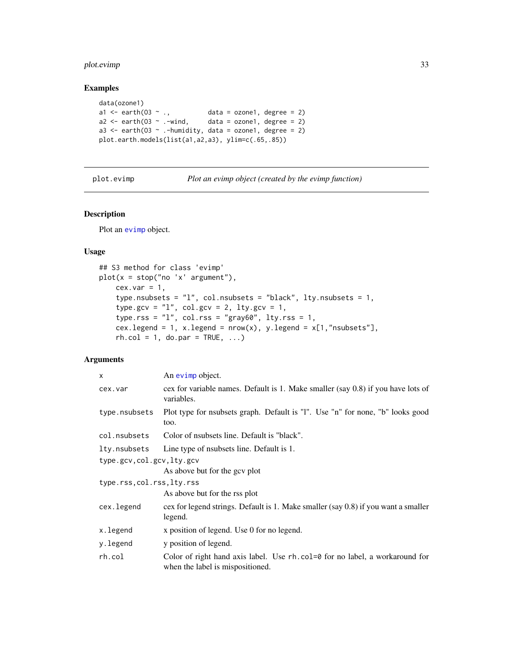# <span id="page-32-0"></span>plot.evimp 33

# Examples

```
data(ozone1)
a1 \leq - earth(03 \sim ., data = ozone1, degree = 2)
a2 \leq - earth(03 \sim .-wind, data = ozone1, degree = 2)
a3 \le earth(03 \sim .-humidity, data = ozone1, degree = 2)
plot.earth.models(list(a1,a2,a3), ylim=c(.65,.85))
```
<span id="page-32-1"></span>plot.evimp *Plot an evimp object (created by the evimp function)*

### Description

Plot an [evimp](#page-17-1) object.

# Usage

```
## S3 method for class 'evimp'
plot(x = stop("no 'x' argument"),cex.var = 1,
    type.nsubsets = "l", col.nsubsets = "black", lty.nsubsets = 1,
    type.gcv = "1", col.gcv = 2, lty.gcv = 1,
    type.rss = "1", col.rss = "gray60", lty.rss = 1,cex.legend = 1, x.legend = nrow(x), y.legend = x[1, "nsubsets"],
   rh.col = 1, do.par = TRUE, ...
```
# Arguments

| $\mathsf{x}$               | An evimp object.                                                                                                    |
|----------------------------|---------------------------------------------------------------------------------------------------------------------|
| cex.var                    | cex for variable names. Default is 1. Make smaller $(say 0.8)$ if you have lots of<br>variables.                    |
| type.nsubsets              | Plot type for nsubsets graph. Default is "1". Use "n" for none, "b" looks good<br>too.                              |
| col.nsubsets               | Color of nsubsets line. Default is "black".                                                                         |
| lty.nsubsets               | Line type of nsubsets line. Default is 1.                                                                           |
| type.gcv,col.gcv,lty.gcv   |                                                                                                                     |
|                            | As above but for the gcv plot                                                                                       |
| type.rss, col.rss, lty.rss |                                                                                                                     |
|                            | As above but for the rss plot                                                                                       |
| cex.legend                 | cex for legend strings. Default is 1. Make smaller (say 0.8) if you want a smaller<br>legend.                       |
| x.legend                   | x position of legend. Use 0 for no legend.                                                                          |
| y.legend                   | y position of legend.                                                                                               |
| rh.col                     | Color of right hand axis label. Use $rh.col = 0$ for no label, a workaround for<br>when the label is mispositioned. |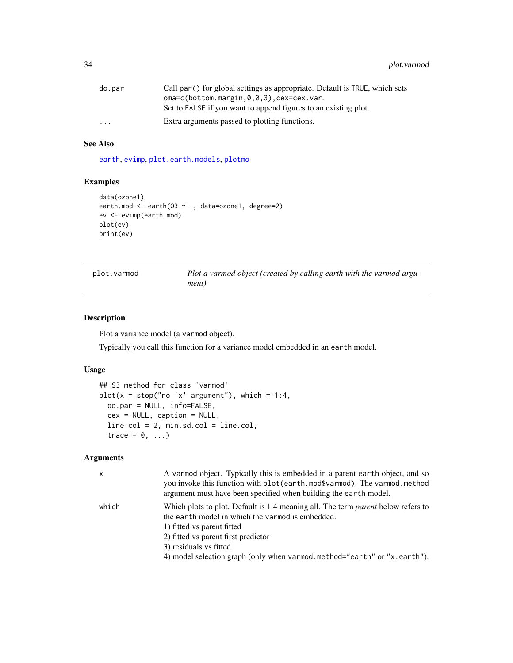<span id="page-33-0"></span>

| do.par   | Call par () for global settings as appropriate. Default is TRUE, which sets |
|----------|-----------------------------------------------------------------------------|
|          | $oma=c(bottom.margin, 0, 0, 3)$ , $cex=cex.var.$                            |
|          | Set to FALSE if you want to append figures to an existing plot.             |
| $\cdots$ | Extra arguments passed to plotting functions.                               |

# See Also

[earth](#page-2-1), [evimp](#page-17-1), [plot.earth.models](#page-30-1), [plotmo](#page-0-0)

# Examples

```
data(ozone1)
earth.mod <- earth(03 ~ ., data=ozone1, degree=2)
ev <- evimp(earth.mod)
plot(ev)
print(ev)
```
<span id="page-33-1"></span>plot.varmod *Plot a varmod object (created by calling earth with the varmod argument)*

# Description

Plot a variance model (a varmod object).

Typically you call this function for a variance model embedded in an earth model.

# Usage

```
## S3 method for class 'varmod'
plot(x = stop("no 'x' argument"), which = 1:4,do.par = NULL, info=FALSE,
  cex = NULL, caption = NULL,
  line.col = 2, min.sd.col = line.col,
  trace = 0, \ldots)
```
# Arguments

| x     | A varmod object. Typically this is embedded in a parent earth object, and so<br>you invoke this function with plot (earth.mod\$varmod). The varmod.method<br>argument must have been specified when building the earth model. |
|-------|-------------------------------------------------------------------------------------------------------------------------------------------------------------------------------------------------------------------------------|
| which | Which plots to plot. Default is 1:4 meaning all. The term <i>parent</i> below refers to<br>the earth model in which the varmod is embedded.<br>1) fitted vs parent fitted                                                     |
|       | 2) fitted vs parent first predictor<br>3) residuals vs fitted<br>4) model selection graph (only when varmod.method="earth" or "x.earth").                                                                                     |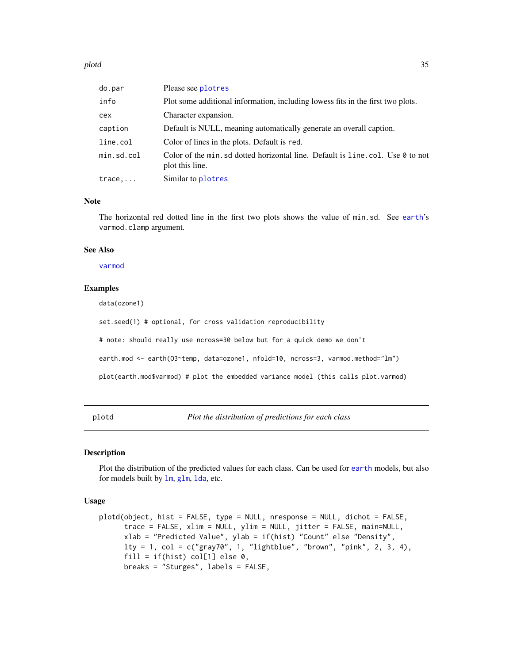### <span id="page-34-0"></span>plotd 35

| do.par          | Please see plotres                                                                                 |
|-----------------|----------------------------------------------------------------------------------------------------|
| info            | Plot some additional information, including lowess fits in the first two plots.                    |
| cex             | Character expansion.                                                                               |
| caption         | Default is NULL, meaning automatically generate an overall caption.                                |
| line.col        | Color of lines in the plots. Default is red.                                                       |
| min.sd.col      | Color of the min, sd dotted horizontal line. Default is line, col. Use 0 to not<br>plot this line. |
| $trace, \ldots$ | Similar to plotres                                                                                 |

### Note

The horizontal red dotted line in the first two plots shows the value of min.sd. See [earth](#page-2-1)'s varmod.clamp argument.

### See Also

[varmod](#page-47-1)

# Examples

data(ozone1)

set.seed(1) # optional, for cross validation reproducibility

# note: should really use ncross=30 below but for a quick demo we don't

earth.mod <- earth(03~temp, data=ozone1, nfold=10, ncross=3, varmod.method="lm")

plot(earth.mod\$varmod) # plot the embedded variance model (this calls plot.varmod)

<span id="page-34-1"></span>plotd *Plot the distribution of predictions for each class*

# Description

Plot the distribution of the predicted values for each class. Can be used for [earth](#page-2-1) models, but also for models built by [lm](#page-0-0), [glm](#page-0-0), [lda](#page-0-0), etc.

### Usage

```
plotd(object, hist = FALSE, type = NULL, nresponse = NULL, dichot = FALSE,
     trace = FALSE, xlim = NULL, ylim = NULL, jitter = FALSE, main=NULL,
     xlab = "Predicted Value", ylab = if(hist) "Count" else "Density",
     lty = 1, col = c("gray70", 1, "lightblue", "brown", "pink", 2, 3, 4),
     fill = if(hist) col[1] else 0,
     breaks = "Sturges", labels = FALSE,
```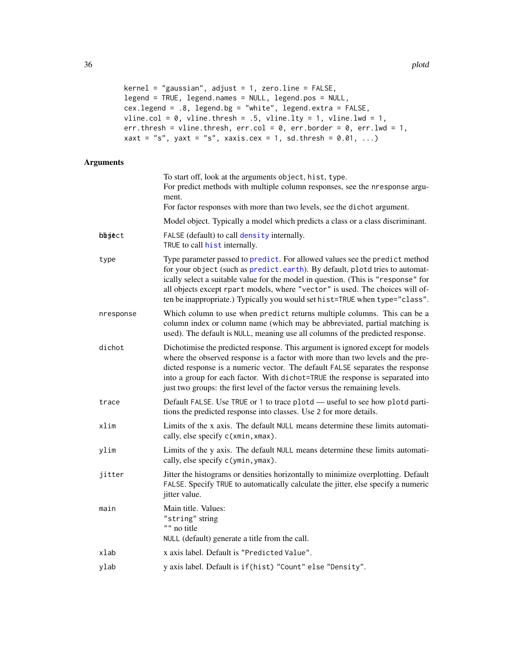```
kernel = "gaussian", adjust = 1, zero.line = FALSE,
legend = TRUE, legend.names = NULL, legend.pos = NULL,
cex.legend = .8, legend.bg = "white", legend.extra = FALSE,
vline.col = 0, vline.thresh = .5, vline.lty = 1, vline.lwd = 1,
err.thresh = vline.thresh, err.col = 0, err.border = 0, err.lwd = 1,
xaxt = "s", yaxt = "s", xaxis.cex = 1, sd.thresh = 0.01, ...)
```
# Arguments

|           | To start off, look at the arguments object, hist, type.<br>For predict methods with multiple column responses, see the nresponse argu-<br>ment.<br>For factor responses with more than two levels, see the dichot argument.                                                                                                                                                                                       |
|-----------|-------------------------------------------------------------------------------------------------------------------------------------------------------------------------------------------------------------------------------------------------------------------------------------------------------------------------------------------------------------------------------------------------------------------|
|           | Model object. Typically a model which predicts a class or a class discriminant.                                                                                                                                                                                                                                                                                                                                   |
| bbject    | FALSE (default) to call density internally.<br>TRUE to call hist internally.                                                                                                                                                                                                                                                                                                                                      |
| type      | Type parameter passed to predict. For allowed values see the predict method<br>for your object (such as predict.earth). By default, plotd tries to automat-<br>ically select a suitable value for the model in question. (This is "response" for<br>all objects except rpart models, where "vector" is used. The choices will of-<br>ten be inappropriate.) Typically you would set hist=TRUE when type="class".  |
| nresponse | Which column to use when predict returns multiple columns. This can be a<br>column index or column name (which may be abbreviated, partial matching is<br>used). The default is NULL, meaning use all columns of the predicted response.                                                                                                                                                                          |
| dichot    | Dichotimise the predicted response. This argument is ignored except for models<br>where the observed response is a factor with more than two levels and the pre-<br>dicted response is a numeric vector. The default FALSE separates the response<br>into a group for each factor. With dichot=TRUE the response is separated into<br>just two groups: the first level of the factor versus the remaining levels. |
| trace     | Default FALSE. Use TRUE or 1 to trace plotd - useful to see how plotd parti-<br>tions the predicted response into classes. Use 2 for more details.                                                                                                                                                                                                                                                                |
| xlim      | Limits of the x axis. The default NULL means determine these limits automati-<br>cally, else specify c(xmin, xmax).                                                                                                                                                                                                                                                                                               |
| ylim      | Limits of the y axis. The default NULL means determine these limits automati-<br>cally, else specify c(ymin, ymax).                                                                                                                                                                                                                                                                                               |
| jitter    | Jitter the histograms or densities horizontally to minimize overplotting. Default<br>FALSE. Specify TRUE to automatically calculate the jitter, else specify a numeric<br>jitter value.                                                                                                                                                                                                                           |
| main      | Main title. Values:<br>"string" string<br>"" no title<br>NULL (default) generate a title from the call.                                                                                                                                                                                                                                                                                                           |
| xlab      | x axis label. Default is "Predicted Value".                                                                                                                                                                                                                                                                                                                                                                       |
| ylab      | y axis label. Default is if (hist) "Count" else "Density".                                                                                                                                                                                                                                                                                                                                                        |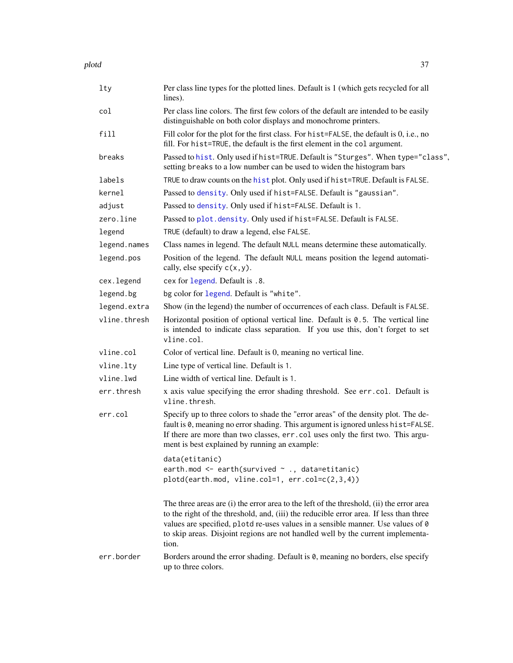<span id="page-36-0"></span>

| lty          | Per class line types for the plotted lines. Default is 1 (which gets recycled for all<br>lines).                                                                                                                                                                                                                                                                   |
|--------------|--------------------------------------------------------------------------------------------------------------------------------------------------------------------------------------------------------------------------------------------------------------------------------------------------------------------------------------------------------------------|
| col          | Per class line colors. The first few colors of the default are intended to be easily<br>distinguishable on both color displays and monochrome printers.                                                                                                                                                                                                            |
| fill         | Fill color for the plot for the first class. For hist=FALSE, the default is 0, i.e., no<br>fill. For hist=TRUE, the default is the first element in the col argument.                                                                                                                                                                                              |
| breaks       | Passed to hist. Only used if hist=TRUE. Default is "Sturges". When type="class",<br>setting breaks to a low number can be used to widen the histogram bars                                                                                                                                                                                                         |
| labels       | TRUE to draw counts on the hist plot. Only used if hist=TRUE. Default is FALSE.                                                                                                                                                                                                                                                                                    |
| kernel       | Passed to density. Only used if hist=FALSE. Default is "gaussian".                                                                                                                                                                                                                                                                                                 |
| adjust       | Passed to density. Only used if hist=FALSE. Default is 1.                                                                                                                                                                                                                                                                                                          |
| zero.line    | Passed to plot. density. Only used if hist=FALSE. Default is FALSE.                                                                                                                                                                                                                                                                                                |
| legend       | TRUE (default) to draw a legend, else FALSE.                                                                                                                                                                                                                                                                                                                       |
| legend.names | Class names in legend. The default NULL means determine these automatically.                                                                                                                                                                                                                                                                                       |
| legend.pos   | Position of the legend. The default NULL means position the legend automati-<br>cally, else specify $c(x, y)$ .                                                                                                                                                                                                                                                    |
| cex.legend   | cex for legend. Default is .8.                                                                                                                                                                                                                                                                                                                                     |
| legend.bg    | bg color for legend. Default is "white".                                                                                                                                                                                                                                                                                                                           |
| legend.extra | Show (in the legend) the number of occurrences of each class. Default is FALSE.                                                                                                                                                                                                                                                                                    |
| vline.thresh | Horizontal position of optional vertical line. Default is $0.5$ . The vertical line<br>is intended to indicate class separation. If you use this, don't forget to set<br>vline.col.                                                                                                                                                                                |
| vline.col    | Color of vertical line. Default is 0, meaning no vertical line.                                                                                                                                                                                                                                                                                                    |
| vline.lty    | Line type of vertical line. Default is 1.                                                                                                                                                                                                                                                                                                                          |
| vline.       | Line width of vertical line. Default is 1.                                                                                                                                                                                                                                                                                                                         |
| err.thresh   | x axis value specifying the error shading threshold. See err.col. Default is<br>vline.thresh.                                                                                                                                                                                                                                                                      |
| err.col      | Specify up to three colors to shade the "error areas" of the density plot. The de-<br>fault is 0, meaning no error shading. This argument is ignored unless hist=FALSE.<br>If there are more than two classes, err.col uses only the first two. This argu-<br>ment is best explained by running an example:                                                        |
|              | data(etitanic)<br>earth.mod $\leq$ earth(survived $\sim$ ., data=etitanic)<br>$plotd(earth.mod, vline.col=1, err.col=c(2,3,4))$                                                                                                                                                                                                                                    |
|              | The three areas are (i) the error area to the left of the threshold, (ii) the error area<br>to the right of the threshold, and, (iii) the reducible error area. If less than three<br>values are specified, plotd re-uses values in a sensible manner. Use values of 0<br>to skip areas. Disjoint regions are not handled well by the current implementa-<br>tion. |
| err.border   | Borders around the error shading. Default is 0, meaning no borders, else specify<br>up to three colors.                                                                                                                                                                                                                                                            |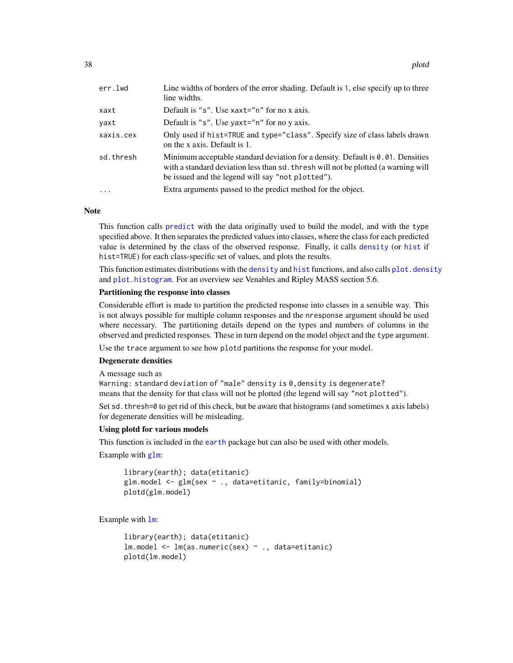<span id="page-37-0"></span>

| err.lwd   | Line widths of borders of the error shading. Default is 1, else specify up to three<br>line widths.                                                                                                                        |
|-----------|----------------------------------------------------------------------------------------------------------------------------------------------------------------------------------------------------------------------------|
| xaxt      | Default is "s". Use $x$ axt="n" for no x axis.                                                                                                                                                                             |
| yaxt      | Default is "s". Use yaxt=" $n$ " for no y axis.                                                                                                                                                                            |
| xaxis.cex | Only used if hist=TRUE and type="class". Specify size of class labels drawn<br>on the x axis. Default is 1.                                                                                                                |
| sd.thresh | Minimum acceptable standard deviation for a density. Default is 0.01. Densities<br>with a standard deviation less than sd. thresh will not be plotted (a warning will<br>be issued and the legend will say "not plotted"). |
| $\ddotsc$ | Extra arguments passed to the predict method for the object.                                                                                                                                                               |

### **Note**

This function calls [predict](#page-0-0) with the data originally used to build the model, and with the type specified above. It then separates the predicted values into classes, where the class for each predicted value is determined by the class of the observed response. Finally, it calls [density](#page-0-0) (or [hist](#page-0-0) if hist=TRUE) for each class-specific set of values, and plots the results.

This function estimates distributions with the [density](#page-0-0) and [hist](#page-0-0) functions, and also calls plot. density and [plot.histogram](#page-0-0). For an overview see Venables and Ripley MASS section 5.6.

# Partitioning the response into classes

Considerable effort is made to partition the predicted response into classes in a sensible way. This is not always possible for multiple column responses and the nresponse argument should be used where necessary. The partitioning details depend on the types and numbers of columns in the observed and predicted responses. These in turn depend on the model object and the type argument.

Use the trace argument to see how plotd partitions the response for your model.

### Degenerate densities

A message such as

Warning: standard deviation of "male" density is 0,density is degenerate? means that the density for that class will not be plotted (the legend will say "not plotted").

Set sd. thresh=0 to get rid of this check, but be aware that histograms (and sometimes x axis labels) for degenerate densities will be misleading.

### Using plotd for various models

This function is included in the [earth](#page-2-1) package but can also be used with other models.

Example with [glm](#page-0-0):

```
library(earth); data(etitanic)
glm.model <- glm(sex ~ ., data=etitanic, family=binomial)
plotd(glm.model)
```
Example with [lm](#page-0-0):

```
library(earth); data(etitanic)
lm.model <- lm(as.numeric(sex) ~ ., data=etitanic)
plotd(lm.model)
```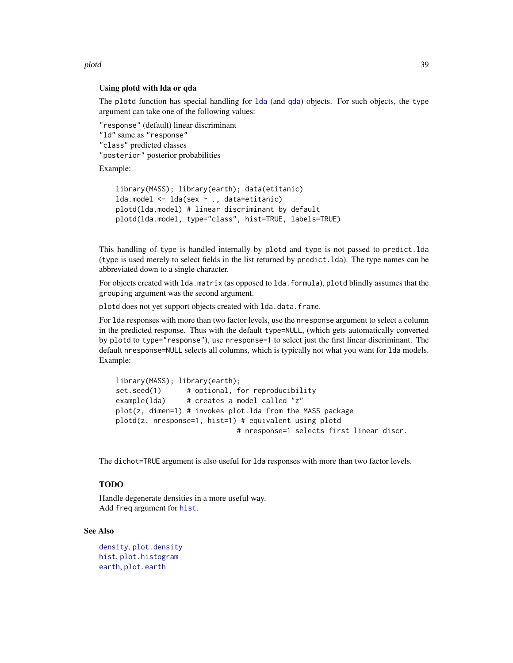<span id="page-38-0"></span>plotd 39

# Using plotd with lda or qda

The plotd function has special handling for [lda](#page-0-0) (and [qda](#page-0-0)) objects. For such objects, the type argument can take one of the following values:

```
"response" (default) linear discriminant
"ld" same as "response"
"class" predicted classes
"posterior" posterior probabilities
```
Example:

```
library(MASS); library(earth); data(etitanic)
lda.model <- lda(sex ~ ., data=etitanic)
plotd(lda.model) # linear discriminant by default
plotd(lda.model, type="class", hist=TRUE, labels=TRUE)
```
This handling of type is handled internally by plotd and type is not passed to predict.lda (type is used merely to select fields in the list returned by predict.lda). The type names can be abbreviated down to a single character.

For objects created with lda.matrix (as opposed to lda.formula), plotd blindly assumes that the grouping argument was the second argument.

plotd does not yet support objects created with lda.data.frame.

For lda responses with more than two factor levels, use the nresponse argument to select a column in the predicted response. Thus with the default type=NULL, (which gets automatically converted by plotd to type="response"), use nresponse=1 to select just the first linear discriminant. The default nresponse=NULL selects all columns, which is typically not what you want for lda models. Example:

```
library(MASS); library(earth);
set.seed(1) # optional, for reproducibility
example(lda) # creates a model called "z"
plot(z, dimen=1) # invokes plot.lda from the MASS package
plotd(z, nresponse=1, hist=1) # equivalent using plotd
                            # nresponse=1 selects first linear discr.
```
The dichot=TRUE argument is also useful for lda responses with more than two factor levels.

# TODO

Handle degenerate densities in a more useful way. Add freq argument for [hist](#page-0-0).

### See Also

```
density, plot.density
hist, plot.histogram
earth, plot.earth
```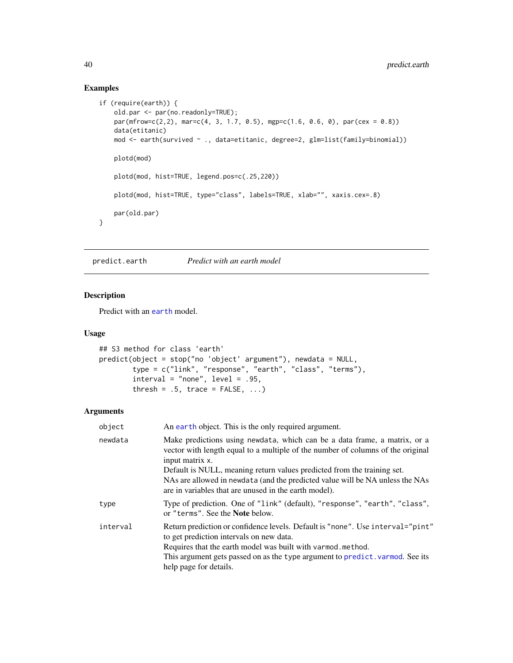# Examples

```
if (require(earth)) {
    old.par <- par(no.readonly=TRUE);
   par(mfrow=c(2,2), mar=c(4, 3, 1.7, 0.5), mgp=c(1.6, 0.6, 0), par(cex = 0.8))data(etitanic)
   mod <- earth(survived ~ ., data=etitanic, degree=2, glm=list(family=binomial))
   plotd(mod)
    plotd(mod, hist=TRUE, legend.pos=c(.25,220))
   plotd(mod, hist=TRUE, type="class", labels=TRUE, xlab="", xaxis.cex=.8)
   par(old.par)
}
```
<span id="page-39-1"></span>predict.earth *Predict with an earth model*

# Description

Predict with an [earth](#page-2-1) model.

### Usage

```
## S3 method for class 'earth'
predict(object = stop("no 'object' argument"), newdata = NULL,
        type = c("link", "response", "earth", "class", "terms"),
        interval = "none", level = .95,thresh = .5, trace = FALSE, ...)
```
### Arguments

| object   | An earth object. This is the only required argument.                                                                                                                                                                                                                                                                                                                                                 |
|----------|------------------------------------------------------------------------------------------------------------------------------------------------------------------------------------------------------------------------------------------------------------------------------------------------------------------------------------------------------------------------------------------------------|
| newdata  | Make predictions using newdata, which can be a data frame, a matrix, or a<br>vector with length equal to a multiple of the number of columns of the original<br>input matrix x.<br>Default is NULL, meaning return values predicted from the training set.<br>NAs are allowed in newdata (and the predicted value will be NA unless the NAs<br>are in variables that are unused in the earth model). |
| type     | Type of prediction. One of "link" (default), "response", "earth", "class",<br>or "terms". See the <b>Note</b> below.                                                                                                                                                                                                                                                                                 |
| interval | Return prediction or confidence levels. Default is "none". Use interval="pint"<br>to get prediction intervals on new data.<br>Requires that the earth model was built with varmod.method.<br>This argument gets passed on as the type argument to predict. varmod. See its<br>help page for details.                                                                                                 |

<span id="page-39-0"></span>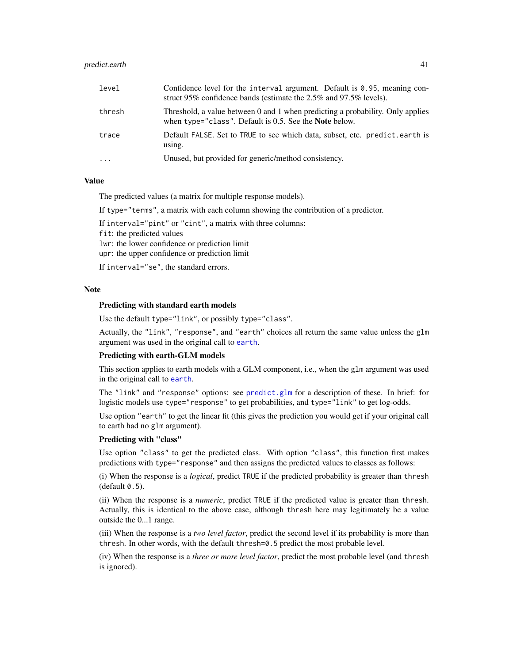# <span id="page-40-0"></span>predict.earth 41

| level    | Confidence level for the interval argument. Default is $0.95$ , meaning con-<br>struct 95% confidence bands (estimate the 2.5% and 97.5% levels).   |
|----------|-----------------------------------------------------------------------------------------------------------------------------------------------------|
| thresh   | Threshold, a value between 0 and 1 when predicting a probability. Only applies<br>when type= $"class"$ . Default is 0.5. See the <b>Note</b> below. |
| trace    | Default FALSE. Set to TRUE to see which data, subset, etc. predict.earth is<br>using.                                                               |
| $\cdots$ | Unused, but provided for generic/method consistency.                                                                                                |

# Value

The predicted values (a matrix for multiple response models).

If type="terms", a matrix with each column showing the contribution of a predictor.

If interval="pint" or "cint", a matrix with three columns:

fit: the predicted values

lwr: the lower confidence or prediction limit

upr: the upper confidence or prediction limit

If interval="se", the standard errors.

# **Note**

### Predicting with standard earth models

Use the default type="link", or possibly type="class".

Actually, the "link", "response", and "earth" choices all return the same value unless the glm argument was used in the original call to [earth](#page-2-1).

# Predicting with earth-GLM models

This section applies to earth models with a GLM component, i.e., when the glm argument was used in the original call to [earth](#page-2-1).

The "link" and "response" options: see [predict.glm](#page-0-0) for a description of these. In brief: for logistic models use type="response" to get probabilities, and type="link" to get log-odds.

Use option "earth" to get the linear fit (this gives the prediction you would get if your original call to earth had no glm argument).

### Predicting with "class"

Use option "class" to get the predicted class. With option "class", this function first makes predictions with type="response" and then assigns the predicted values to classes as follows:

(i) When the response is a *logical*, predict TRUE if the predicted probability is greater than thresh  $(default 0.5)$ .

(ii) When the response is a *numeric*, predict TRUE if the predicted value is greater than thresh. Actually, this is identical to the above case, although thresh here may legitimately be a value outside the 0...1 range.

(iii) When the response is a *two level factor*, predict the second level if its probability is more than thresh. In other words, with the default thresh=0.5 predict the most probable level.

(iv) When the response is a *three or more level factor*, predict the most probable level (and thresh is ignored).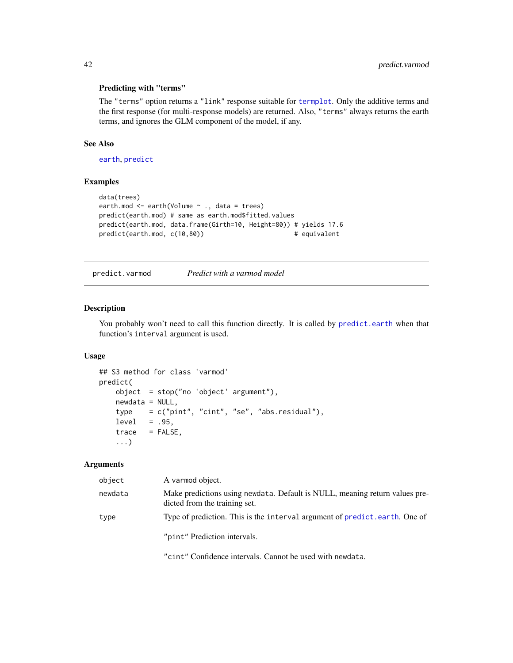# <span id="page-41-0"></span>Predicting with "terms"

The "terms" option returns a "link" response suitable for [termplot](#page-0-0). Only the additive terms and the first response (for multi-response models) are returned. Also, "terms" always returns the earth terms, and ignores the GLM component of the model, if any.

### See Also

[earth](#page-2-1), [predict](#page-0-0)

# Examples

```
data(trees)
earth.mod <- earth(Volume ~ ., data = trees)
predict(earth.mod) # same as earth.mod$fitted.values
predict(earth.mod, data.frame(Girth=10, Height=80)) # yields 17.6
predict(earth.mod, c(10,80)) # equivalent
```
<span id="page-41-1"></span>predict.varmod *Predict with a varmod model*

# Description

You probably won't need to call this function directly. It is called by [predict.earth](#page-39-1) when that function's interval argument is used.

## Usage

```
## S3 method for class 'varmod'
predict(
   object = stop("no 'object' argument"),
   newdata = NULL,type = c("pint", "cint", "se", "abs.residual"),
   level = .95.
   trace = FALSE,...)
```
# Arguments

| object  | A varmod object.                                                                                             |
|---------|--------------------------------------------------------------------------------------------------------------|
| newdata | Make predictions using newdata. Default is NULL, meaning return values pre-<br>dicted from the training set. |
| type    | Type of prediction. This is the interval argument of predict. earth. One of                                  |
|         | "pint" Prediction intervals.                                                                                 |

"cint" Confidence intervals. Cannot be used with newdata.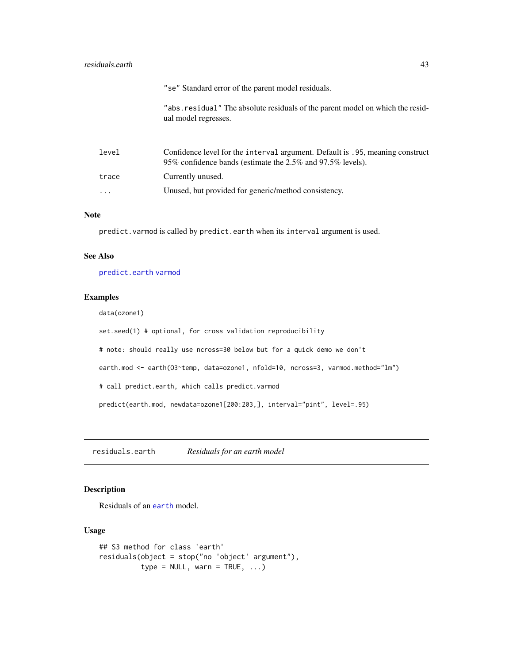# <span id="page-42-0"></span>residuals.earth 43

|          | "se" Standard error of the parent model residuals.                                                                                          |
|----------|---------------------------------------------------------------------------------------------------------------------------------------------|
|          | "abs. residual" The absolute residuals of the parent model on which the resid-<br>ual model regresses.                                      |
| level    | Confidence level for the interval argument. Default is .95, meaning construct<br>95% confidence bands (estimate the 2.5% and 97.5% levels). |
| trace    | Currently unused.                                                                                                                           |
| $\cdots$ | Unused, but provided for generic/method consistency.                                                                                        |

# Note

predict. varmod is called by predict. earth when its interval argument is used.

# See Also

[predict.earth](#page-39-1) [varmod](#page-47-1)

# Examples

data(ozone1)

set.seed(1) # optional, for cross validation reproducibility

# note: should really use ncross=30 below but for a quick demo we don't

earth.mod <- earth(03~temp, data=ozone1, nfold=10, ncross=3, varmod.method="lm")

# call predict.earth, which calls predict.varmod

predict(earth.mod, newdata=ozone1[200:203,], interval="pint", level=.95)

residuals.earth *Residuals for an earth model*

# Description

Residuals of an [earth](#page-2-1) model.

# Usage

```
## S3 method for class 'earth'
residuals(object = stop("no 'object' argument"),
          type = NULL, warn = TRUE, ...)
```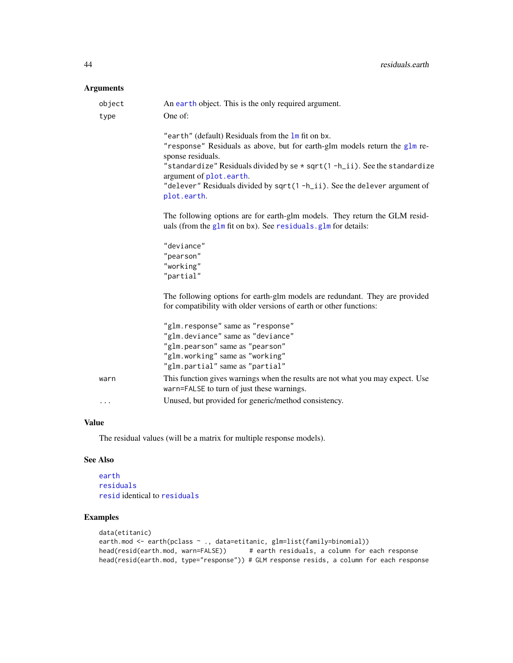# <span id="page-43-0"></span>Arguments

| object<br>type | An earth object. This is the only required argument.<br>One of:                                                                                                                                                                                                                                                                                          |
|----------------|----------------------------------------------------------------------------------------------------------------------------------------------------------------------------------------------------------------------------------------------------------------------------------------------------------------------------------------------------------|
|                | "earth" (default) Residuals from the 1m fit on bx.<br>"response" Residuals as above, but for earth-glm models return the glm re-<br>sponse residuals.<br>"standardize" Residuals divided by se * sqrt(1-h_ii). See the standardize<br>argument of plot.earth.<br>"delever" Residuals divided by sqrt(1-h_ii). See the delever argument of<br>plot.earth. |
|                | The following options are for earth-glm models. They return the GLM resid-<br>uals (from the $g1m$ fit on bx). See residuals. $g1m$ for details:                                                                                                                                                                                                         |
|                | "deviance"<br>"pearson"<br>"working"<br>"partial"                                                                                                                                                                                                                                                                                                        |
|                | The following options for earth-glm models are redundant. They are provided<br>for compatibility with older versions of earth or other functions:                                                                                                                                                                                                        |
|                | "glm.response" same as "response"<br>"glm.deviance" same as "deviance"<br>"glm.pearson" same as "pearson"<br>"glm.working" same as "working"<br>"glm.partial" same as "partial"                                                                                                                                                                          |
| warn           | This function gives warnings when the results are not what you may expect. Use<br>warn=FALSE to turn of just these warnings.                                                                                                                                                                                                                             |
| .              | Unused, but provided for generic/method consistency.                                                                                                                                                                                                                                                                                                     |

# Value

The residual values (will be a matrix for multiple response models).

# See Also

[earth](#page-2-1) [residuals](#page-0-0) [resid](#page-0-0) identical to [residuals](#page-0-0)

# Examples

```
data(etitanic)
earth.mod <- earth(pclass ~ ., data=etitanic, glm=list(family=binomial))
head(resid(earth.mod, warn=FALSE)) # earth residuals, a column for each response
head(resid(earth.mod, type="response")) # GLM response resids, a column for each response
```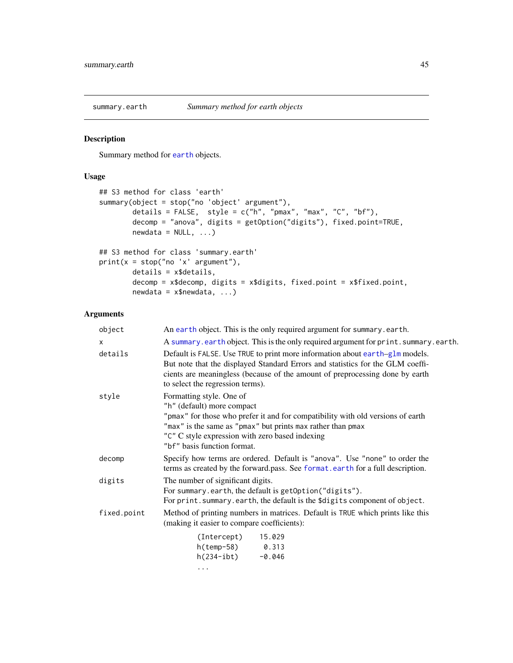<span id="page-44-1"></span><span id="page-44-0"></span>

# Description

Summary method for [earth](#page-2-1) objects.

# Usage

```
## S3 method for class 'earth'
summary(object = stop("no 'object' argument"),
       details = FALSE, style = c("h", "pmax", "max", "C", "bf"),decomp = "anova", digits = getOption("digits"), fixed.point=TRUE,
       newdata = NULL, ...)## S3 method for class 'summary.earth'
print(x = stop("no 'x' argument"),details = x$details,
       decomp = x$decomp, digits = x$digits, fixed.point = x$fixed.point,
       newdata = x$newdata, ...)
```
# Arguments

| An earth object. This is the only required argument for summary.earth.                                                                                                                                                                                                                     |
|--------------------------------------------------------------------------------------------------------------------------------------------------------------------------------------------------------------------------------------------------------------------------------------------|
| A summary earth object. This is the only required argument for print. summary earth.                                                                                                                                                                                                       |
| Default is FALSE. Use TRUE to print more information about earth-glm models.<br>But note that the displayed Standard Errors and statistics for the GLM coeffi-<br>cients are meaningless (because of the amount of preprocessing done by earth<br>to select the regression terms).         |
| Formatting style. One of<br>"h" (default) more compact<br>"pmax" for those who prefer it and for compatibility with old versions of earth<br>"max" is the same as "pmax" but prints max rather than pmax<br>"C" C style expression with zero based indexing<br>"bf" basis function format. |
| Specify how terms are ordered. Default is "anova". Use "none" to order the<br>terms as created by the forward.pass. See format.earth for a full description.                                                                                                                               |
| The number of significant digits.<br>For summary.earth, the default is getOption("digits").<br>For print. summary. earth, the default is the \$digits component of object.                                                                                                                 |
| Method of printing numbers in matrices. Default is TRUE which prints like this<br>(making it easier to compare coefficients):                                                                                                                                                              |
| $(Intercept)$ 15.029<br>h(temp-58) 0.313<br>$h(234 - ibt)$ -0.046<br>$\cdots$                                                                                                                                                                                                              |
|                                                                                                                                                                                                                                                                                            |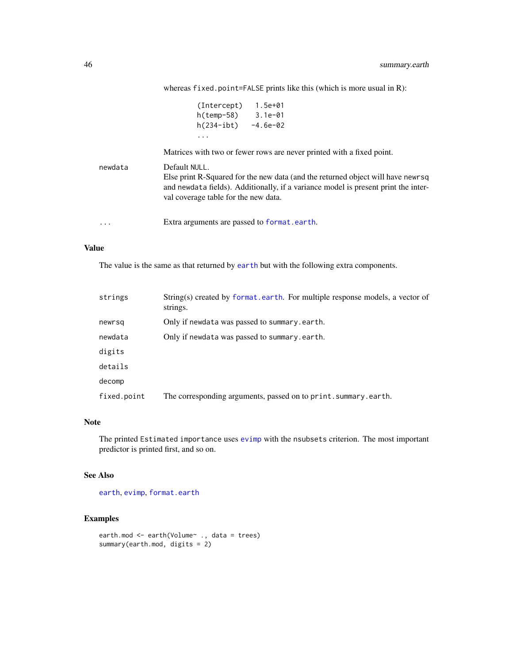<span id="page-45-0"></span>

|         | 1.5e+01<br>(Intercept)                                                             |
|---------|------------------------------------------------------------------------------------|
|         | $h(\text{temp-58})$ 3.1e-01                                                        |
|         | h(234-ibt)<br>$-4.6e-02$                                                           |
|         | .                                                                                  |
|         | Matrices with two or fewer rows are never printed with a fixed point.              |
| newdata | Default NULL.                                                                      |
|         | Else print R-Squared for the new data (and the returned object will have new sq    |
|         | and newdata fields). Additionally, if a variance model is present print the inter- |
|         | val coverage table for the new data.                                               |
|         |                                                                                    |
| .       | Extra arguments are passed to format.earth.                                        |

whereas fixed.point=FALSE prints like this (which is more usual in R):

# Value

The value is the same as that returned by [earth](#page-2-1) but with the following extra components.

| strings     | String(s) created by format earth. For multiple response models, a vector of<br>strings. |
|-------------|------------------------------------------------------------------------------------------|
| newrsg      | Only if newdata was passed to summary.earth.                                             |
| newdata     | Only if newdata was passed to summary.earth.                                             |
| digits      |                                                                                          |
| details     |                                                                                          |
| decomp      |                                                                                          |
| fixed.point | The corresponding arguments, passed on to print. summary. earth.                         |

### Note

The printed Estimated importance uses [evimp](#page-17-1) with the nsubsets criterion. The most important predictor is printed first, and so on.

# See Also

[earth](#page-2-1), [evimp](#page-17-1), [format.earth](#page-21-1)

# Examples

```
earth.mod <- earth(Volume~ ., data = trees)
summary(earth.mod, digits = 2)
```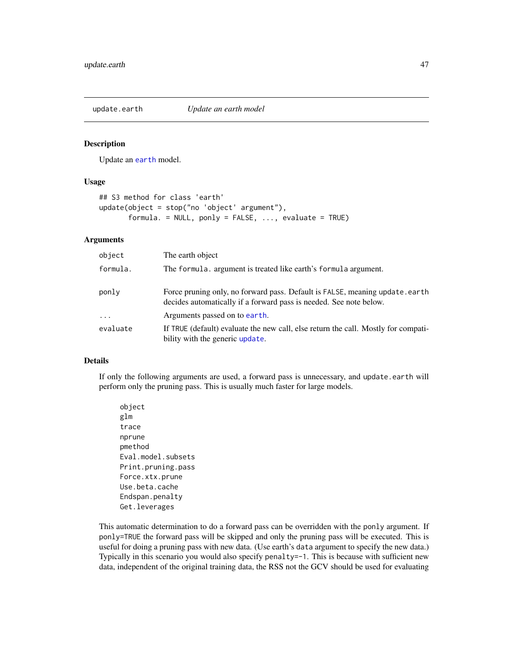<span id="page-46-1"></span><span id="page-46-0"></span>

### Description

Update an [earth](#page-2-1) model.

# Usage

```
## S3 method for class 'earth'
update(object = stop("no 'object' argument"),
       formula. = NULL, ponly = FALSE, ..., evaluate = TRUE)
```
# Arguments

| object   | The earth object                                                                                                                                  |
|----------|---------------------------------------------------------------------------------------------------------------------------------------------------|
| formula. | The formula. argument is treated like earth's formula argument.                                                                                   |
| ponly    | Force pruning only, no forward pass. Default is FALSE, meaning update.earth<br>decides automatically if a forward pass is needed. See note below. |
| $\cdots$ | Arguments passed on to earth.                                                                                                                     |
| evaluate | If TRUE (default) evaluate the new call, else return the call. Mostly for compati-<br>bility with the generic update.                             |

# Details

If only the following arguments are used, a forward pass is unnecessary, and update.earth will perform only the pruning pass. This is usually much faster for large models.

object glm trace nprune pmethod Eval.model.subsets Print.pruning.pass Force.xtx.prune Use.beta.cache Endspan.penalty Get.leverages

This automatic determination to do a forward pass can be overridden with the ponly argument. If ponly=TRUE the forward pass will be skipped and only the pruning pass will be executed. This is useful for doing a pruning pass with new data. (Use earth's data argument to specify the new data.) Typically in this scenario you would also specify penalty=-1. This is because with sufficient new data, independent of the original training data, the RSS not the GCV should be used for evaluating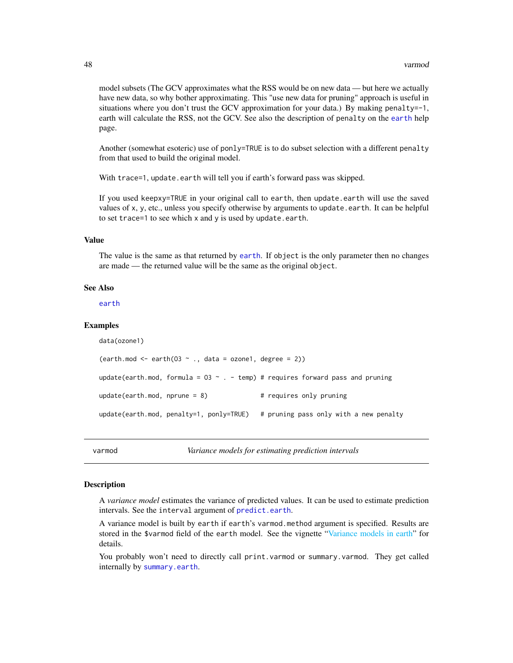<span id="page-47-0"></span>model subsets (The GCV approximates what the RSS would be on new data — but here we actually have new data, so why bother approximating. This "use new data for pruning" approach is useful in situations where you don't trust the GCV approximation for your data.) By making penalty=-1, earth will calculate the RSS, not the GCV. See also the description of penalty on the [earth](#page-2-1) help page.

Another (somewhat esoteric) use of ponly=TRUE is to do subset selection with a different penalty from that used to build the original model.

With trace=1, update.earth will tell you if earth's forward pass was skipped.

If you used keepxy=TRUE in your original call to earth, then update.earth will use the saved values of x, y, etc., unless you specify otherwise by arguments to update.earth. It can be helpful to set trace=1 to see which  $x$  and  $y$  is used by update.earth.

# Value

The value is the same as that returned by [earth](#page-2-1). If object is the only parameter then no changes are made — the returned value will be the same as the original object.

### See Also

[earth](#page-2-1)

### Examples

```
data(ozone1)
(earth.mod \leq earth(03 \leq ., data = ozone1, degree = 2))
update(earth.mod, formula = 03 \sim . - temp) # requires forward pass and pruning
update(earth.mod, nprune = 8) # requires only pruning
update(earth.mod, penalty=1, ponly=TRUE) # pruning pass only with a new penalty
```
<span id="page-47-1"></span>

varmod *Variance models for estimating prediction intervals*

### **Description**

A *variance model* estimates the variance of predicted values. It can be used to estimate prediction intervals. See the interval argument of [predict.earth](#page-39-1).

A variance model is built by earth if earth's varmod.method argument is specified. Results are stored in the \$varmod field of the earth model. See the vignette ["Variance models in earth"](#page-0-0) for details.

You probably won't need to directly call print.varmod or summary.varmod. They get called internally by [summary.earth](#page-44-1).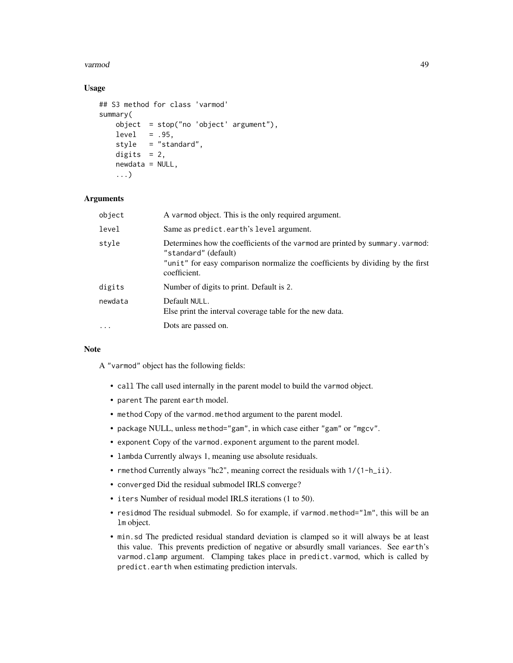### varmod 49

# Usage

```
## S3 method for class 'varmod'
summary(
   object = stop("no 'object' argument"),
   level = .95,style = "standard",
   digits = 2,
   newdata = NULL,
    ...)
```
### Arguments

| object   | A varmod object. This is the only required argument.                                                                                                                                                    |
|----------|---------------------------------------------------------------------------------------------------------------------------------------------------------------------------------------------------------|
| level    | Same as predict.earth's level argument.                                                                                                                                                                 |
| style    | Determines how the coefficients of the varmod are printed by summary. varmod:<br>"standard" (default)<br>"unit" for easy comparison normalize the coefficients by dividing by the first<br>coefficient. |
| digits   | Number of digits to print. Default is 2.                                                                                                                                                                |
| newdata  | Default NULL.<br>Else print the interval coverage table for the new data.                                                                                                                               |
| $\cdots$ | Dots are passed on.                                                                                                                                                                                     |
|          |                                                                                                                                                                                                         |

# Note

A "varmod" object has the following fields:

- call The call used internally in the parent model to build the varmod object.
- parent The parent earth model.
- method Copy of the varmod.method argument to the parent model.
- package NULL, unless method="gam", in which case either "gam" or "mgcv".
- exponent Copy of the varmod.exponent argument to the parent model.
- lambda Currently always 1, meaning use absolute residuals.
- rmethod Currently always "hc2", meaning correct the residuals with  $1/(1-h_ii)$ .
- converged Did the residual submodel IRLS converge?
- iters Number of residual model IRLS iterations (1 to 50).
- residmod The residual submodel. So for example, if varmod.method="lm", this will be an lm object.
- min.sd The predicted residual standard deviation is clamped so it will always be at least this value. This prevents prediction of negative or absurdly small variances. See earth's varmod.clamp argument. Clamping takes place in predict.varmod, which is called by predict.earth when estimating prediction intervals.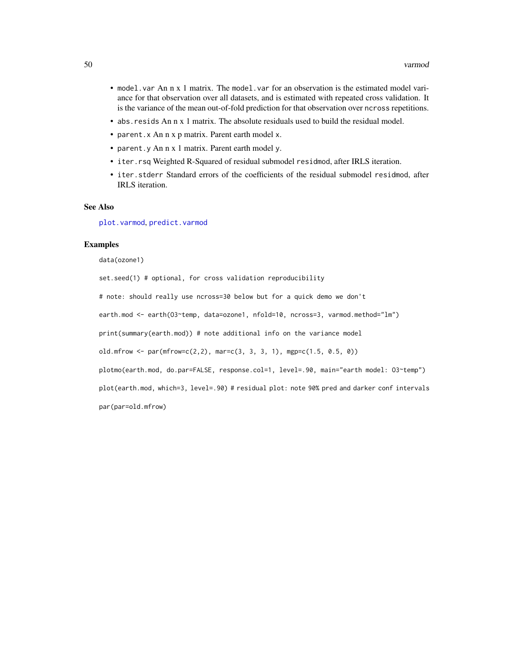- <span id="page-49-0"></span>• model.var An n x 1 matrix. The model.var for an observation is the estimated model variance for that observation over all datasets, and is estimated with repeated cross validation. It is the variance of the mean out-of-fold prediction for that observation over ncross repetitions.
- abs.resids An n x 1 matrix. The absolute residuals used to build the residual model.
- parent.x An n x p matrix. Parent earth model x.
- parent.y An n x 1 matrix. Parent earth model y.
- iter.rsq Weighted R-Squared of residual submodel residmod, after IRLS iteration.
- iter.stderr Standard errors of the coefficients of the residual submodel residmod, after IRLS iteration.

# See Also

[plot.varmod](#page-33-1), [predict.varmod](#page-41-1)

### Examples

data(ozone1)

set.seed(1) # optional, for cross validation reproducibility # note: should really use ncross=30 below but for a quick demo we don't earth.mod <- earth(03~temp, data=ozone1, nfold=10, ncross=3, varmod.method="lm") print(summary(earth.mod)) # note additional info on the variance model old.mfrow <- par(mfrow=c(2,2), mar=c(3, 3, 3, 1), mgp=c(1.5, 0.5, 0)) plotmo(earth.mod, do.par=FALSE, response.col=1, level=.90, main="earth model: O3~temp") plot(earth.mod, which=3, level=.90) # residual plot: note 90% pred and darker conf intervals par(par=old.mfrow)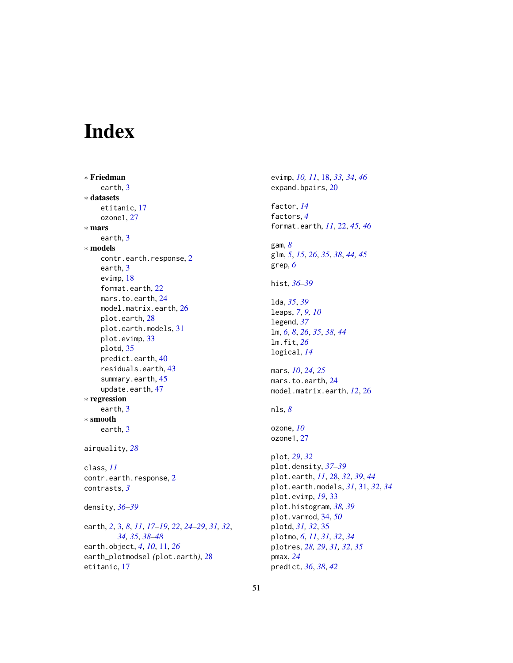# <span id="page-50-0"></span>Index

```
∗ Friedman
    earth, 3
∗ datasets
    etitanic, 17
    ozone1, 27
∗ mars
    earth, 3
∗ models
    contr.earth.response, 2
    earth, 3
    evimp, 18
    format.earth, 22
    mars.to.earth, 24
    model.matrix.earth, 26
    plot.earth, 28
    plot.earth.models, 31
    plot.evimp, 33
    plotd, 35
    predict.earth, 40
    residuals.earth, 43
    summary.earth, 45
    47
∗ regression
    earth, 3
∗ smooth
    earth, 3
airquality, 28
class, 11
contr.earth.response, 2
contrasts, 3
density, 36–39
```
earth, *[2](#page-1-0)*, [3,](#page-2-0) *[8](#page-7-0)*, *[11](#page-10-0)*, *[17](#page-16-0)[–19](#page-18-0)*, *[22](#page-21-0)*, *[24–](#page-23-0)[29](#page-28-0)*, *[31,](#page-30-0) [32](#page-31-0)*, *[34,](#page-33-0) [35](#page-34-0)*, *[38](#page-37-0)[–48](#page-47-0)* earth.object, *[4](#page-3-0)*, *[10](#page-9-0)*, [11,](#page-10-0) *[26](#page-25-0)* earth\_plotmodsel *(*plot.earth*)*, [28](#page-27-0) etitanic, [17](#page-16-0)

evimp, *[10,](#page-9-0) [11](#page-10-0)*, [18,](#page-17-0) *[33,](#page-32-0) [34](#page-33-0)*, *[46](#page-45-0)* expand.bpairs, [20](#page-19-0) factor, *[14](#page-13-0)* factors, *[4](#page-3-0)* format.earth, *[11](#page-10-0)*, [22,](#page-21-0) *[45,](#page-44-0) [46](#page-45-0)* gam, *[8](#page-7-0)* glm, *[5](#page-4-0)*, *[15](#page-14-0)*, *[26](#page-25-0)*, *[35](#page-34-0)*, *[38](#page-37-0)*, *[44,](#page-43-0) [45](#page-44-0)* grep, *[6](#page-5-0)* hist, *[36–](#page-35-0)[39](#page-38-0)* lda, *[35](#page-34-0)*, *[39](#page-38-0)* leaps, *[7](#page-6-0)*, *[9,](#page-8-0) [10](#page-9-0)* legend, *[37](#page-36-0)* lm, *[6](#page-5-0)*, *[8](#page-7-0)*, *[26](#page-25-0)*, *[35](#page-34-0)*, *[38](#page-37-0)*, *[44](#page-43-0)* lm.fit, *[26](#page-25-0)* logical, *[14](#page-13-0)* mars, *[10](#page-9-0)*, *[24,](#page-23-0) [25](#page-24-0)* mars.to.earth, [24](#page-23-0) model.matrix.earth, *[12](#page-11-0)*, [26](#page-25-0) nls, *[8](#page-7-0)* ozone, *[10](#page-9-0)* ozone1, [27](#page-26-0) plot, *[29](#page-28-0)*, *[32](#page-31-0)* plot.density, *[37](#page-36-0)[–39](#page-38-0)* plot.earth, *[11](#page-10-0)*, [28,](#page-27-0) *[32](#page-31-0)*, *[39](#page-38-0)*, *[44](#page-43-0)* plot.earth.models, *[31](#page-30-0)*, [31,](#page-30-0) *[32](#page-31-0)*, *[34](#page-33-0)* plot.evimp, *[19](#page-18-0)*, [33](#page-32-0) plot.histogram, *[38,](#page-37-0) [39](#page-38-0)* plot.varmod, [34,](#page-33-0) *[50](#page-49-0)* plotd, *[31,](#page-30-0) [32](#page-31-0)*, [35](#page-34-0) plotmo, *[6](#page-5-0)*, *[11](#page-10-0)*, *[31,](#page-30-0) [32](#page-31-0)*, *[34](#page-33-0)* plotres, *[28,](#page-27-0) [29](#page-28-0)*, *[31,](#page-30-0) [32](#page-31-0)*, *[35](#page-34-0)* pmax, *[24](#page-23-0)* predict, *[36](#page-35-0)*, *[38](#page-37-0)*, *[42](#page-41-0)*